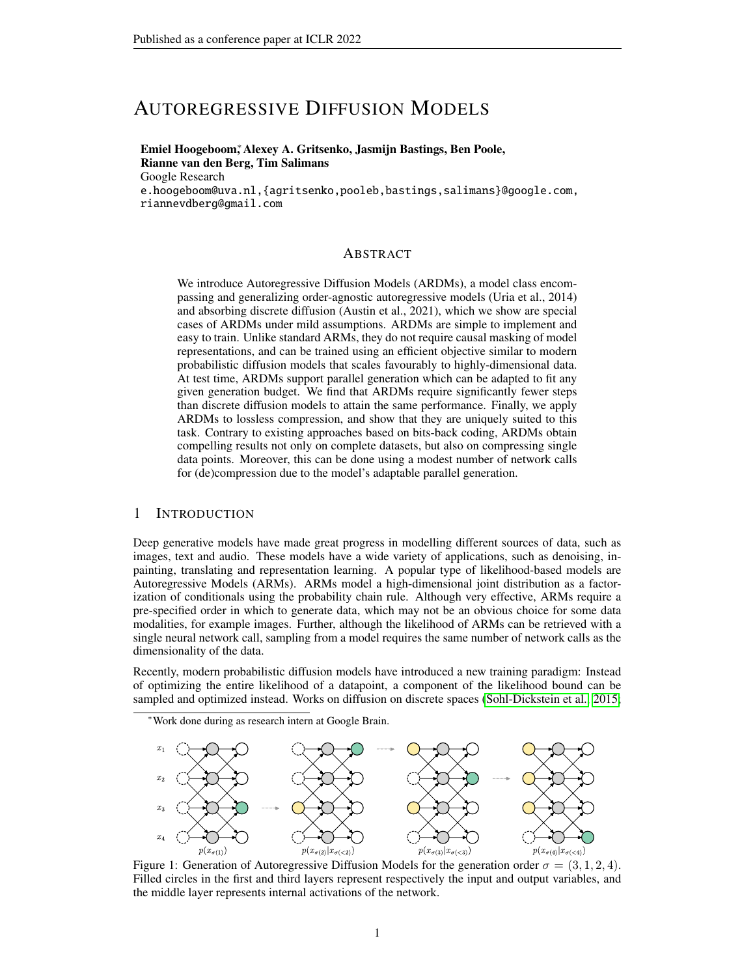# AUTOREGRESSIVE DIFFUSION MODELS

## Emiel Hoogeboom<sup>∗</sup> , Alexey A. Gritsenko, Jasmijn Bastings, Ben Poole, Rianne van den Berg, Tim Salimans Google Research

e.hoogeboom@uva.nl,{agritsenko,pooleb,bastings,salimans}@google.com, riannevdberg@gmail.com

### ABSTRACT

We introduce Autoregressive Diffusion Models (ARDMs), a model class encompassing and generalizing order-agnostic autoregressive models (Uria et al., 2014) and absorbing discrete diffusion (Austin et al., 2021), which we show are special cases of ARDMs under mild assumptions. ARDMs are simple to implement and easy to train. Unlike standard ARMs, they do not require causal masking of model representations, and can be trained using an efficient objective similar to modern probabilistic diffusion models that scales favourably to highly-dimensional data. At test time, ARDMs support parallel generation which can be adapted to fit any given generation budget. We find that ARDMs require significantly fewer steps than discrete diffusion models to attain the same performance. Finally, we apply ARDMs to lossless compression, and show that they are uniquely suited to this task. Contrary to existing approaches based on bits-back coding, ARDMs obtain compelling results not only on complete datasets, but also on compressing single data points. Moreover, this can be done using a modest number of network calls for (de)compression due to the model's adaptable parallel generation.

#### 1 INTRODUCTION

Deep generative models have made great progress in modelling different sources of data, such as images, text and audio. These models have a wide variety of applications, such as denoising, inpainting, translating and representation learning. A popular type of likelihood-based models are Autoregressive Models (ARMs). ARMs model a high-dimensional joint distribution as a factorization of conditionals using the probability chain rule. Although very effective, ARMs require a pre-specified order in which to generate data, which may not be an obvious choice for some data modalities, for example images. Further, although the likelihood of ARMs can be retrieved with a single neural network call, sampling from a model requires the same number of network calls as the dimensionality of the data.

Recently, modern probabilistic diffusion models have introduced a new training paradigm: Instead of optimizing the entire likelihood of a datapoint, a component of the likelihood bound can be sampled and optimized instead. Works on diffusion on discrete spaces [\(Sohl-Dickstein et al., 2015;](#page-11-0)

<sup>∗</sup>Work done during as research intern at Google Brain.

<span id="page-0-0"></span>

Figure 1: Generation of Autoregressive Diffusion Models for the generation order  $\sigma = (3, 1, 2, 4)$ . Filled circles in the first and third layers represent respectively the input and output variables, and the middle layer represents internal activations of the network.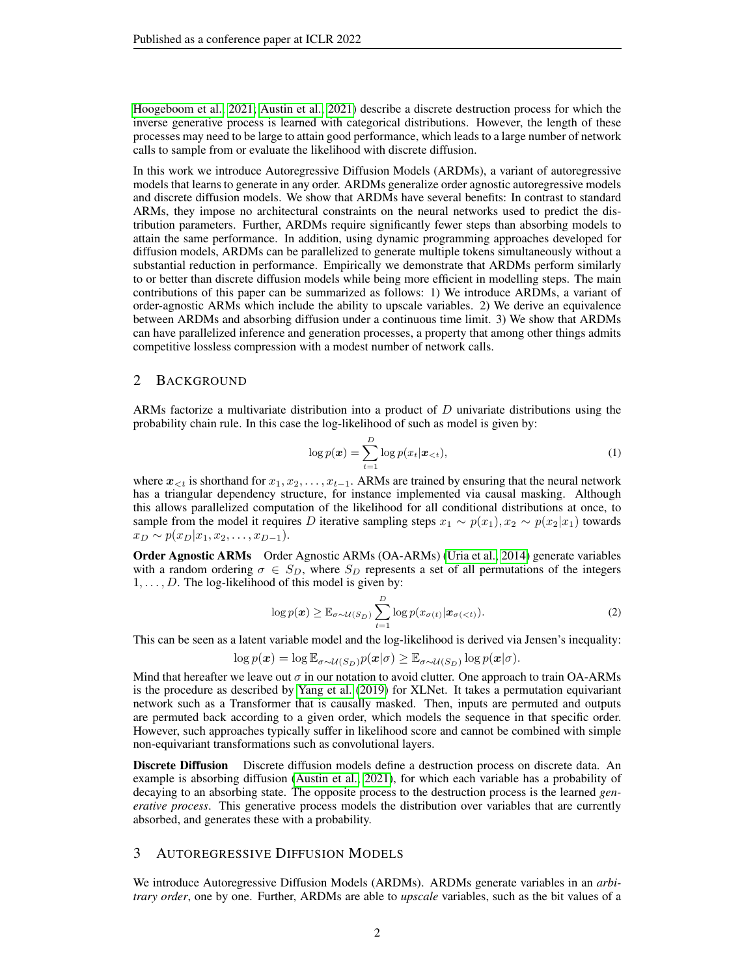[Hoogeboom et al., 2021;](#page-10-0) [Austin et al., 2021\)](#page-9-0) describe a discrete destruction process for which the inverse generative process is learned with categorical distributions. However, the length of these processes may need to be large to attain good performance, which leads to a large number of network calls to sample from or evaluate the likelihood with discrete diffusion.

In this work we introduce Autoregressive Diffusion Models (ARDMs), a variant of autoregressive models that learns to generate in any order. ARDMs generalize order agnostic autoregressive models and discrete diffusion models. We show that ARDMs have several benefits: In contrast to standard ARMs, they impose no architectural constraints on the neural networks used to predict the distribution parameters. Further, ARDMs require significantly fewer steps than absorbing models to attain the same performance. In addition, using dynamic programming approaches developed for diffusion models, ARDMs can be parallelized to generate multiple tokens simultaneously without a substantial reduction in performance. Empirically we demonstrate that ARDMs perform similarly to or better than discrete diffusion models while being more efficient in modelling steps. The main contributions of this paper can be summarized as follows: 1) We introduce ARDMs, a variant of order-agnostic ARMs which include the ability to upscale variables. 2) We derive an equivalence between ARDMs and absorbing diffusion under a continuous time limit. 3) We show that ARDMs can have parallelized inference and generation processes, a property that among other things admits competitive lossless compression with a modest number of network calls.

## 2 BACKGROUND

ARMs factorize a multivariate distribution into a product of  $D$  univariate distributions using the probability chain rule. In this case the log-likelihood of such as model is given by:

$$
\log p(\boldsymbol{x}) = \sum_{t=1}^{D} \log p(x_t | \boldsymbol{x}_{< t}), \tag{1}
$$

where  $x_{\leq t}$  is shorthand for  $x_1, x_2, \ldots, x_{t-1}$ . ARMs are trained by ensuring that the neural network has a triangular dependency structure, for instance implemented via causal masking. Although this allows parallelized computation of the likelihood for all conditional distributions at once, to sample from the model it requires D iterative sampling steps  $x_1 \sim p(x_1), x_2 \sim p(x_2|x_1)$  towards  $x_D \sim p(x_D | x_1, x_2, \ldots, x_{D-1}).$ 

Order Agnostic ARMs Order Agnostic ARMs (OA-ARMs) [\(Uria et al., 2014\)](#page-12-0) generate variables with a random ordering  $\sigma \in S_D$ , where  $S_D$  represents a set of all permutations of the integers  $1, \ldots, D$ . The log-likelihood of this model is given by:

<span id="page-1-0"></span>
$$
\log p(\boldsymbol{x}) \geq \mathbb{E}_{\sigma \sim \mathcal{U}(S_D)} \sum_{t=1}^D \log p(x_{\sigma(t)} | \boldsymbol{x}_{\sigma(
$$

This can be seen as a latent variable model and the log-likelihood is derived via Jensen's inequality:

$$
\log p(\boldsymbol{x}) = \log \mathbb{E}_{\sigma \sim \mathcal{U}(S_D)} p(\boldsymbol{x}|\sigma) \geq \mathbb{E}_{\sigma \sim \mathcal{U}(S_D)} \log p(\boldsymbol{x}|\sigma).
$$

Mind that hereafter we leave out  $\sigma$  in our notation to avoid clutter. One approach to train OA-ARMs is the procedure as described by [Yang et al.](#page-12-1) [\(2019\)](#page-12-1) for XLNet. It takes a permutation equivariant network such as a Transformer that is causally masked. Then, inputs are permuted and outputs are permuted back according to a given order, which models the sequence in that specific order. However, such approaches typically suffer in likelihood score and cannot be combined with simple non-equivariant transformations such as convolutional layers.

**Discrete Diffusion** Discrete diffusion models define a destruction process on discrete data. An example is absorbing diffusion [\(Austin et al., 2021\)](#page-9-0), for which each variable has a probability of decaying to an absorbing state. The opposite process to the destruction process is the learned *generative process*. This generative process models the distribution over variables that are currently absorbed, and generates these with a probability.

### <span id="page-1-1"></span>3 AUTOREGRESSIVE DIFFUSION MODELS

We introduce Autoregressive Diffusion Models (ARDMs). ARDMs generate variables in an *arbitrary order*, one by one. Further, ARDMs are able to *upscale* variables, such as the bit values of a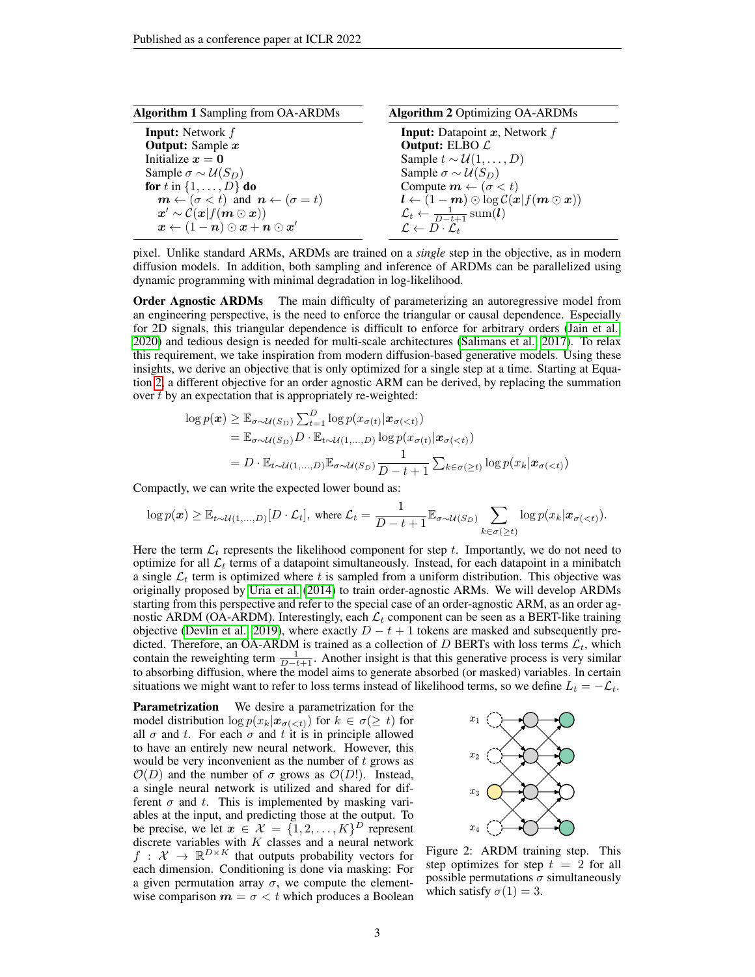<span id="page-2-0"></span>

| <b>Algorithm 1</b> Sampling from OA-ARDMs                                                                    | <b>Algorithm 2 Optimizing OA-ARDMs</b>                                |
|--------------------------------------------------------------------------------------------------------------|-----------------------------------------------------------------------|
| <b>Input:</b> Network $f$                                                                                    | <b>Input:</b> Datapoint $x$ , Network $f$                             |
| <b>Output:</b> Sample $x$                                                                                    | Output: ELBO $\mathcal L$                                             |
| Initialize $x = 0$                                                                                           | Sample $t \sim \mathcal{U}(1,\ldots,D)$                               |
| Sample $\sigma \sim \mathcal{U}(S_D)$                                                                        | Sample $\sigma \sim \mathcal{U}(S_D)$                                 |
| for t in $\{1,\ldots,D\}$ do                                                                                 | Compute $m \leftarrow (\sigma < t)$                                   |
| $m \leftarrow (\sigma < t)$ and $n \leftarrow (\sigma = t)$                                                  | $l \leftarrow (1-m) \odot \log C(x   f(m \odot x))$                   |
| $\mathbf{x}' \sim \mathcal{C}(\mathbf{x} f(\mathbf{m} \odot \mathbf{x}))$                                    | $\mathcal{L}_t \leftarrow \frac{1}{D-t+1} \operatorname{sum}(\bm{l})$ |
| $\boldsymbol{x} \leftarrow (1 - \boldsymbol{n}) \odot \boldsymbol{x} + \boldsymbol{n} \odot \boldsymbol{x}'$ | $\mathcal{L} \leftarrow D \cdot \mathcal{L}_t$                        |

pixel. Unlike standard ARMs, ARDMs are trained on a *single* step in the objective, as in modern diffusion models. In addition, both sampling and inference of ARDMs can be parallelized using dynamic programming with minimal degradation in log-likelihood.

**Order Agnostic ARDMs** The main difficulty of parameterizing an autoregressive model from an engineering perspective, is the need to enforce the triangular or causal dependence. Especially for 2D signals, this triangular dependence is difficult to enforce for arbitrary orders [\(Jain et al.,](#page-10-1) [2020\)](#page-10-1) and tedious design is needed for multi-scale architectures [\(Salimans et al., 2017\)](#page-11-1). To relax this requirement, we take inspiration from modern diffusion-based generative models. Using these insights, we derive an objective that is only optimized for a single step at a time. Starting at Equation [2,](#page-1-0) a different objective for an order agnostic ARM can be derived, by replacing the summation over t by an expectation that is appropriately re-weighted:

$$
\log p(\boldsymbol{x}) \geq \mathbb{E}_{\sigma \sim \mathcal{U}(S_D)} \sum_{t=1}^D \log p(x_{\sigma(t)} | \boldsymbol{x}_{\sigma(  
=  $\mathbb{E}_{\sigma \sim \mathcal{U}(S_D)} D \cdot \mathbb{E}_{t \sim \mathcal{U}(1,...,D)} \log p(x_{\sigma(t)} | \boldsymbol{x}_{\sigma(  
=  $D \cdot \mathbb{E}_{t \sim \mathcal{U}(1,...,D)} \mathbb{E}_{\sigma \sim \mathcal{U}(S_D)} \frac{1}{D - t + 1} \sum_{k \in \sigma(\geq t)} \log p(x_k | \boldsymbol{x}_{\sigma($$
$$

Compactly, we can write the expected lower bound as:

$$
\log p(\boldsymbol{x}) \geq \mathbb{E}_{t \sim \mathcal{U}(1,...,D)}[D \cdot \mathcal{L}_t], \text{ where } \mathcal{L}_t = \frac{1}{D-t+1} \mathbb{E}_{\sigma \sim \mathcal{U}(S_D)} \sum_{k \in \sigma(\geq t)} \log p(x_k | \boldsymbol{x}_{\sigma(
$$

Here the term  $\mathcal{L}_t$  represents the likelihood component for step t. Importantly, we do not need to optimize for all  $\mathcal{L}_t$  terms of a datapoint simultaneously. Instead, for each datapoint in a minibatch a single  $\mathcal{L}_t$  term is optimized where t is sampled from a uniform distribution. This objective was originally proposed by [Uria et al.](#page-12-0) [\(2014\)](#page-12-0) to train order-agnostic ARMs. We will develop ARDMs starting from this perspective and refer to the special case of an order-agnostic ARM, as an order agnostic ARDM (OA-ARDM). Interestingly, each  $\mathcal{L}_t$  component can be seen as a BERT-like training objective [\(Devlin et al., 2019\)](#page-9-1), where exactly  $D - t + 1$  tokens are masked and subsequently predicted. Therefore, an OA-ARDM is trained as a collection of D BERTs with loss terms  $\mathcal{L}_t$ , which contain the reweighting term  $\frac{1}{D-t+1}$ . Another insight is that this generative process is very similar to absorbing diffusion, where the model aims to generate absorbed (or masked) variables. In certain situations we might want to refer to loss terms instead of likelihood terms, so we define  $L_t = -\mathcal{L}_t$ .

**Parametrization** We desire a parametrization for the model distribution  $\log p(x_k|x_{\sigma( for  $k \in \sigma(\geq t)$  for$ all  $\sigma$  and t. For each  $\sigma$  and t it is in principle allowed to have an entirely new neural network. However, this would be very inconvenient as the number of  $t$  grows as  $\mathcal{O}(D)$  and the number of  $\sigma$  grows as  $\mathcal{O}(D!)$ . Instead, a single neural network is utilized and shared for different  $\sigma$  and t. This is implemented by masking variables at the input, and predicting those at the output. To be precise, we let  $x \in \mathcal{X} = \{1, 2, ..., K\}^D$  represent discrete variables with  $K$  classes and a neural network  $f: \mathcal{X} \to \mathbb{R}^{D \times K}$  that outputs probability vectors for each dimension. Conditioning is done via masking: For a given permutation array  $\sigma$ , we compute the elementwise comparison  $m = \sigma < t$  which produces a Boolean

<span id="page-2-1"></span>

Figure 2: ARDM training step. This step optimizes for step  $t = 2$  for all possible permutations  $\sigma$  simultaneously which satisfy  $\sigma(1) = 3$ .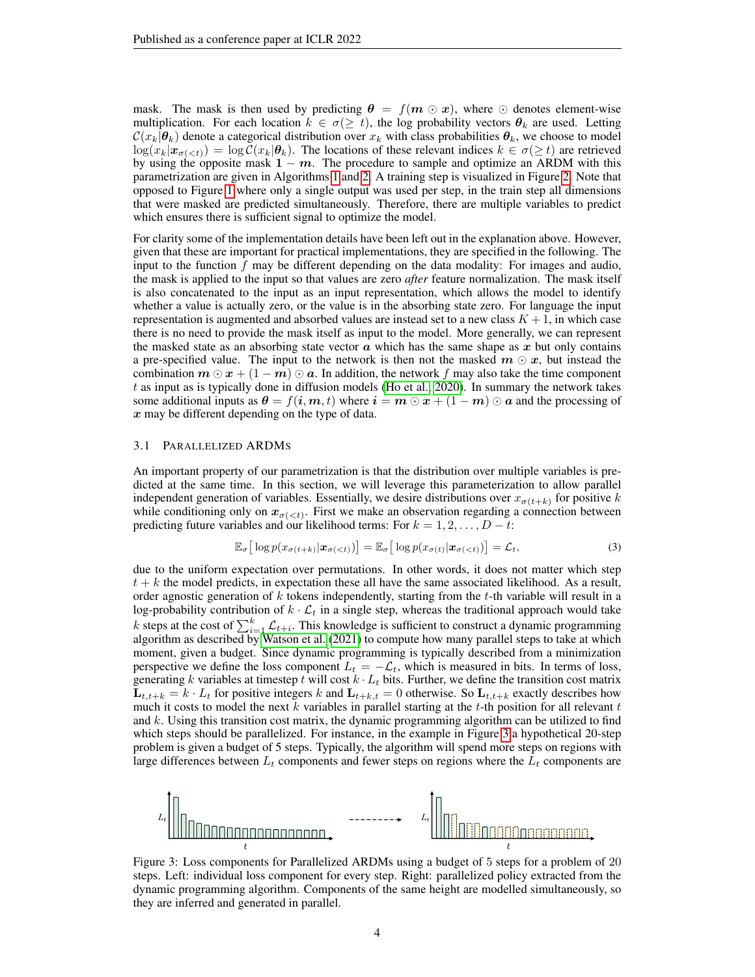mask. The mask is then used by predicting  $\theta = f(m \odot x)$ , where  $\odot$  denotes element-wise multiplication. For each location  $k \in \sigma(\geq t)$ , the log probability vectors  $\theta_k$  are used. Letting  $\mathcal{C}(x_k|\theta_k)$  denote a categorical distribution over  $x_k$  with class probabilities  $\theta_k$ , we choose to model  $\log(x_k|\mathbf{x}_{\sigma(. The locations of these relevant indices  $k \in \sigma(\geq t)$  are retrieved$ by using the opposite mask  $1 - m$ . The procedure to sample and optimize an ARDM with this parametrization are given in Algorithms [1](#page-2-0) and [2.](#page-2-0) A training step is visualized in Figure [2.](#page-2-1) Note that opposed to Figure [1](#page-0-0) where only a single output was used per step, in the train step all dimensions that were masked are predicted simultaneously. Therefore, there are multiple variables to predict which ensures there is sufficient signal to optimize the model.

For clarity some of the implementation details have been left out in the explanation above. However, given that these are important for practical implementations, they are specified in the following. The input to the function  $f$  may be different depending on the data modality: For images and audio, the mask is applied to the input so that values are zero *after* feature normalization. The mask itself is also concatenated to the input as an input representation, which allows the model to identify whether a value is actually zero, or the value is in the absorbing state zero. For language the input representation is augmented and absorbed values are instead set to a new class  $K + 1$ , in which case there is no need to provide the mask itself as input to the model. More generally, we can represent the masked state as an absorbing state vector  $\alpha$  which has the same shape as  $x$  but only contains a pre-specified value. The input to the network is then not the masked  $m \odot x$ , but instead the combination  $m \odot x + (1 - m) \odot a$ . In addition, the network f may also take the time component  $t$  as input as is typically done in diffusion models [\(Ho et al., 2020\)](#page-10-2). In summary the network takes some additional inputs as  $\theta = f(i, m, t)$  where  $i = m \odot x + (1 - m) \odot a$  and the processing of x may be different depending on the type of data.

#### 3.1 PARALLELIZED ARDMS

An important property of our parametrization is that the distribution over multiple variables is predicted at the same time. In this section, we will leverage this parameterization to allow parallel independent generation of variables. Essentially, we desire distributions over  $x_{\sigma(t+k)}$  for positive k while conditioning only on  $x_{\sigma(\langle t \rangle)}$ . First we make an observation regarding a connection between predicting future variables and our likelihood terms: For  $k = 1, 2, \ldots, D - t$ :

$$
\mathbb{E}_{\sigma}\big[\log p(x_{\sigma(t+k)}|\boldsymbol{x}_{\sigma(
$$

due to the uniform expectation over permutations. In other words, it does not matter which step  $t + k$  the model predicts, in expectation these all have the same associated likelihood. As a result, order agnostic generation of  $k$  tokens independently, starting from the  $t$ -th variable will result in a log-probability contribution of  $k \cdot \mathcal{L}_t$  in a single step, whereas the traditional approach would take k steps at the cost of  $\sum_{i=1}^{k} \mathcal{L}_{t+i}$ . This knowledge is sufficient to construct a dynamic programming algorithm as described by [Watson et al.](#page-12-2) [\(2021\)](#page-12-2) to compute how many parallel steps to take at which moment, given a budget. Since dynamic programming is typically described from a minimization perspective we define the loss component  $L_t = -\mathcal{L}_t$ , which is measured in bits. In terms of loss, generating k variables at timestep t will cost  $k \cdot L_t$  bits. Further, we define the transition cost matrix  $\mathbf{L}_{t,t+k} = k \cdot L_t$  for positive integers k and  $\mathbf{L}_{t+k,t} = 0$  otherwise. So  $\mathbf{L}_{t,t+k}$  exactly describes how much it costs to model the next  $k$  variables in parallel starting at the  $t$ -th position for all relevant  $t$ and k. Using this transition cost matrix, the dynamic programming algorithm can be utilized to find which steps should be parallelized. For instance, in the example in Figure [3](#page-3-0) a hypothetical 20-step problem is given a budget of 5 steps. Typically, the algorithm will spend more steps on regions with large differences between  $L_t$  components and fewer steps on regions where the  $L_t$  components are

<span id="page-3-0"></span>

Figure 3: Loss components for Parallelized ARDMs using a budget of 5 steps for a problem of 20 steps. Left: individual loss component for every step. Right: parallelized policy extracted from the dynamic programming algorithm. Components of the same height are modelled simultaneously, so they are inferred and generated in parallel.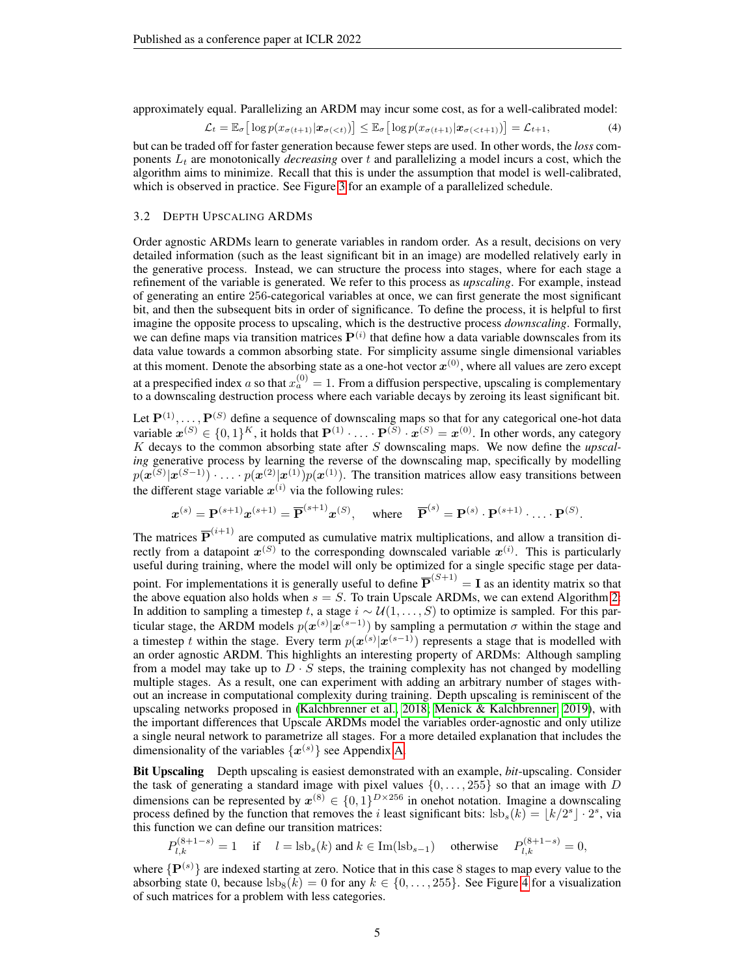approximately equal. Parallelizing an ARDM may incur some cost, as for a well-calibrated model:

<span id="page-4-0"></span>
$$
\mathcal{L}_t = \mathbb{E}_{\sigma} \big[ \log p(x_{\sigma(t+1)} | \boldsymbol{x}_{\sigma(\n(4)
$$

but can be traded off for faster generation because fewer steps are used. In other words, the *loss* components  $L_t$  are monotonically *decreasing* over t and parallelizing a model incurs a cost, which the algorithm aims to minimize. Recall that this is under the assumption that model is well-calibrated, which is observed in practice. See Figure [3](#page-3-0) for an example of a parallelized schedule.

### 3.2 DEPTH UPSCALING ARDMS

Order agnostic ARDMs learn to generate variables in random order. As a result, decisions on very detailed information (such as the least significant bit in an image) are modelled relatively early in the generative process. Instead, we can structure the process into stages, where for each stage a refinement of the variable is generated. We refer to this process as *upscaling*. For example, instead of generating an entire 256-categorical variables at once, we can first generate the most significant bit, and then the subsequent bits in order of significance. To define the process, it is helpful to first imagine the opposite process to upscaling, which is the destructive process *downscaling*. Formally, we can define maps via transition matrices  $P^{(i)}$  that define how a data variable downscales from its data value towards a common absorbing state. For simplicity assume single dimensional variables at this moment. Denote the absorbing state as a one-hot vector  $x^{(0)}$ , where all values are zero except at a prespecified index a so that  $x_a^{(0)} = 1$ . From a diffusion perspective, upscaling is complementary to a downscaling destruction process where each variable decays by zeroing its least significant bit.

Let  $\mathbf{P}^{(1)}, \ldots, \mathbf{P}^{(S)}$  define a sequence of downscaling maps so that for any categorical one-hot data variable  $x^{(S)} \in \{0,1\}^K$ , it holds that  $\mathbf{P}^{(1)} \cdot \ldots \cdot \mathbf{P}^{(S)} \cdot x^{(S)} = x^{(0)}$ . In other words, any category K decays to the common absorbing state after S downscaling maps. We now define the *upscaling* generative process by learning the reverse of the downscaling map, specifically by modelling  $p(x^{(S)}|x^{(S-1)}) \cdot \ldots \cdot p(x^{(2)}|x^{(1)})p(x^{(1)})$ . The transition matrices allow easy transitions between the different stage variable  $x^{(i)}$  via the following rules:

$$
\boldsymbol{x}^{(s)} = \mathbf{P}^{(s+1)} \boldsymbol{x}^{(s+1)} = \overline{\mathbf{P}}^{(s+1)} \boldsymbol{x}^{(S)}, \text{ where } \overline{\mathbf{P}}^{(s)} = \mathbf{P}^{(s)} \cdot \mathbf{P}^{(s+1)} \cdot \ldots \cdot \mathbf{P}^{(S)}.
$$

The matrices  $\overline{P}^{(i+1)}$  are computed as cumulative matrix multiplications, and allow a transition directly from a datapoint  $x^{(S)}$  to the corresponding downscaled variable  $x^{(i)}$ . This is particularly useful during training, where the model will only be optimized for a single specific stage per datapoint. For implementations it is generally useful to define  $\overline{P}^{(S+1)} = I$  as an identity matrix so that the above equation also holds when  $s = S$ . To train Upscale ARDMs, we can extend Algorithm [2:](#page-2-0) In addition to sampling a timestep t, a stage  $i \sim \mathcal{U}(1, \ldots, S)$  to optimize is sampled. For this particular stage, the ARDM models  $p(x^{(s)}|x^{(s-1)})$  by sampling a permutation  $\sigma$  within the stage and a timestep t within the stage. Every term  $p(x^{(s)}|x^{(s-1)})$  represents a stage that is modelled with an order agnostic ARDM. This highlights an interesting property of ARDMs: Although sampling from a model may take up to  $D \cdot S$  steps, the training complexity has not changed by modelling multiple stages. As a result, one can experiment with adding an arbitrary number of stages without an increase in computational complexity during training. Depth upscaling is reminiscent of the upscaling networks proposed in [\(Kalchbrenner et al., 2018;](#page-10-3) [Menick & Kalchbrenner, 2019\)](#page-11-2), with the important differences that Upscale ARDMs model the variables order-agnostic and only utilize a single neural network to parametrize all stages. For a more detailed explanation that includes the dimensionality of the variables  $\{x^{(s)}\}$  see Appendix [A.](#page-13-0)

Bit Upscaling Depth upscaling is easiest demonstrated with an example, *bit*-upscaling. Consider the task of generating a standard image with pixel values  $\{0, \ldots, 255\}$  so that an image with D dimensions can be represented by  $x^{(8)} \in \{0,1\}^{D \times 256}$  in onehot notation. Imagine a downscaling process defined by the function that removes the *i* least significant bits:  $\text{lsb}_s(k) = \lfloor k/2^s \rfloor \cdot 2^s$ , via this function we can define our transition matrices:

$$
P_{l,k}^{(8+1-s)} = 1
$$
 if  $l = \text{lsb}_s(k)$  and  $k \in \text{Im}(\text{lsb}_{s-1})$  otherwise  $P_{l,k}^{(8+1-s)} = 0$ ,

where  $\{P^{(s)}\}$  are indexed starting at zero. Notice that in this case 8 stages to map every value to the absorbing state 0, because  $\text{lsb}_8(k) = 0$  for any  $k \in \{0, \ldots, 255\}$ . See Figure [4](#page-5-0) for a visualization of such matrices for a problem with less categories.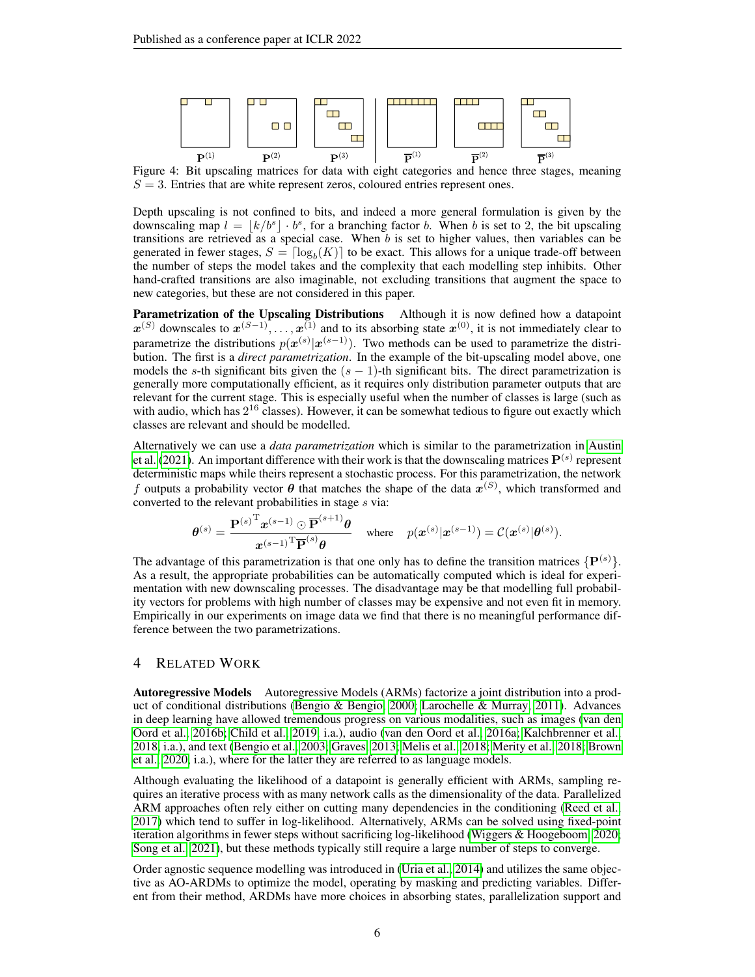<span id="page-5-0"></span>

Figure 4: Bit upscaling matrices for data with eight categories and hence three stages, meaning  $S = 3$ . Entries that are white represent zeros, coloured entries represent ones.

Depth upscaling is not confined to bits, and indeed a more general formulation is given by the downscaling map  $l = \lfloor k/b^s \rfloor \cdot b^s$ , for a branching factor b. When b is set to 2, the bit upscaling transitions are retrieved as a special case. When  $b$  is set to higher values, then variables can be generated in fewer stages,  $S = \lceil \log_b(K) \rceil$  to be exact. This allows for a unique trade-off between the number of steps the model takes and the complexity that each modelling step inhibits. Other hand-crafted transitions are also imaginable, not excluding transitions that augment the space to new categories, but these are not considered in this paper.

Parametrization of the Upscaling Distributions Although it is now defined how a datapoint  $x^{(S)}$  downscales to  $x^{(S-1)}, \ldots, x^{(1)}$  and to its absorbing state  $x^{(0)}$ , it is not immediately clear to parametrize the distributions  $p(x^{(s)}|x^{(s-1)})$ . Two methods can be used to parametrize the distribution. The first is a *direct parametrization*. In the example of the bit-upscaling model above, one models the s-th significant bits given the  $(s - 1)$ -th significant bits. The direct parametrization is generally more computationally efficient, as it requires only distribution parameter outputs that are relevant for the current stage. This is especially useful when the number of classes is large (such as with audio, which has  $2^{16}$  classes). However, it can be somewhat tedious to figure out exactly which classes are relevant and should be modelled.

Alternatively we can use a *data parametrization* which is similar to the parametrization in [Austin](#page-9-0) [et al.](#page-9-0) [\(2021\)](#page-9-0). An important difference with their work is that the downscaling matrices  $\mathbf{P}^{(s)}$  represent deterministic maps while theirs represent a stochastic process. For this parametrization, the network f outputs a probability vector  $\theta$  that matches the shape of the data  $x^{(S)}$ , which transformed and converted to the relevant probabilities in stage  $s$  via:

$$
\boldsymbol{\theta}^{(s)} = \frac{\mathbf{P}^{(s)}{}^{\mathrm{T}} \boldsymbol{x}^{(s-1)} \odot \overline{\mathbf{P}}^{(s+1)} \boldsymbol{\theta}}{\boldsymbol{x}^{(s-1)}{}^{\mathrm{T}} \overline{\mathbf{P}}^{(s)} \boldsymbol{\theta}} \quad \text{where} \quad p(\boldsymbol{x}^{(s)} | \boldsymbol{x}^{(s-1)}) = \mathcal{C}(\boldsymbol{x}^{(s)} | \boldsymbol{\theta}^{(s)}).
$$

The advantage of this parametrization is that one only has to define the transition matrices  $\{P^{(s)}\}$ . As a result, the appropriate probabilities can be automatically computed which is ideal for experimentation with new downscaling processes. The disadvantage may be that modelling full probability vectors for problems with high number of classes may be expensive and not even fit in memory. Empirically in our experiments on image data we find that there is no meaningful performance difference between the two parametrizations.

## 4 RELATED WORK

Autoregressive Models Autoregressive Models (ARMs) factorize a joint distribution into a product of conditional distributions [\(Bengio & Bengio, 2000;](#page-9-2) [Larochelle & Murray, 2011\)](#page-11-3). Advances in deep learning have allowed tremendous progress on various modalities, such as images [\(van den](#page-12-3) [Oord et al., 2016b;](#page-12-3) [Child et al., 2019,](#page-9-3) i.a.), audio [\(van den Oord et al., 2016a;](#page-12-4) [Kalchbrenner et al.,](#page-10-3) [2018,](#page-10-3) i.a.), and text [\(Bengio et al., 2003;](#page-9-4) [Graves, 2013;](#page-10-4) [Melis et al., 2018;](#page-11-4) [Merity et al., 2018;](#page-11-5) [Brown](#page-9-5) [et al., 2020,](#page-9-5) i.a.), where for the latter they are referred to as language models.

Although evaluating the likelihood of a datapoint is generally efficient with ARMs, sampling requires an iterative process with as many network calls as the dimensionality of the data. Parallelized ARM approaches often rely either on cutting many dependencies in the conditioning [\(Reed et al.,](#page-11-6) [2017\)](#page-11-6) which tend to suffer in log-likelihood. Alternatively, ARMs can be solved using fixed-point iteration algorithms in fewer steps without sacrificing log-likelihood [\(Wiggers & Hoogeboom, 2020;](#page-12-5) [Song et al., 2021\)](#page-11-7), but these methods typically still require a large number of steps to converge.

Order agnostic sequence modelling was introduced in [\(Uria et al., 2014\)](#page-12-0) and utilizes the same objective as AO-ARDMs to optimize the model, operating by masking and predicting variables. Different from their method, ARDMs have more choices in absorbing states, parallelization support and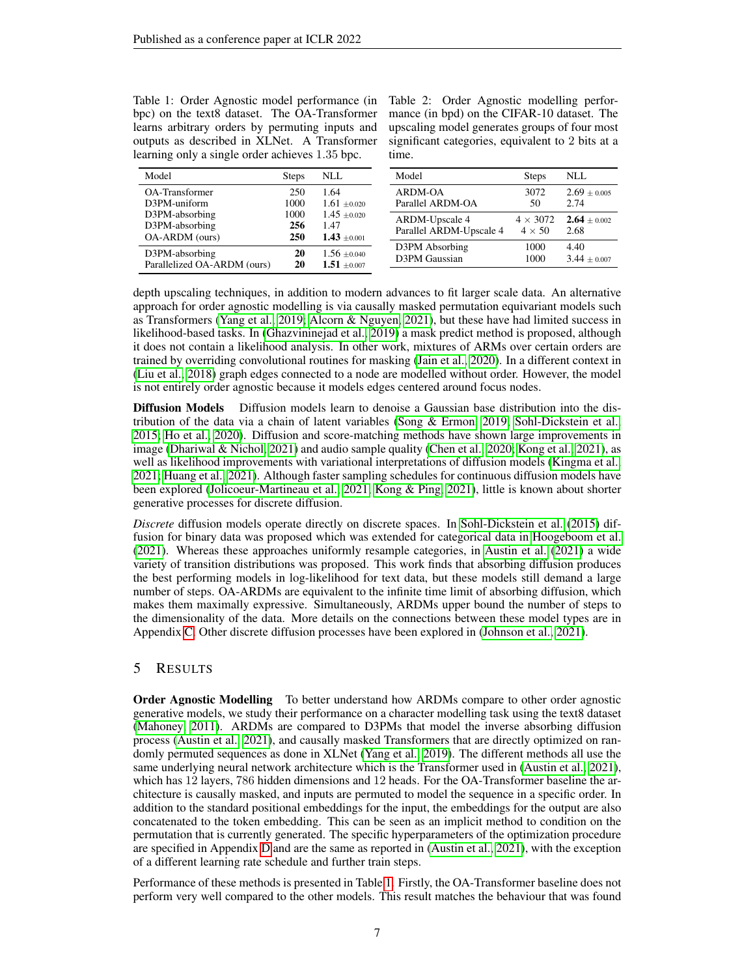<span id="page-6-0"></span>Table 1: Order Agnostic model performance (in bpc) on the text8 dataset. The OA-Transformer learns arbitrary orders by permuting inputs and outputs as described in XLNet. A Transformer learning only a single order achieves 1.35 bpc.

Table 2: Order Agnostic modelling performance (in bpd) on the CIFAR-10 dataset. The upscaling model generates groups of four most significant categories, equivalent to 2 bits at a time.

| Model                                              | <b>Steps</b>       | NLL                                          | Model                                            | <b>Steps</b>                     | <b>NLL</b>               |
|----------------------------------------------------|--------------------|----------------------------------------------|--------------------------------------------------|----------------------------------|--------------------------|
| OA-Transformer                                     | 250                | 1.64                                         | ARDM-OA                                          | 3072                             | $2.69 \pm 0.005$         |
| D3PM-uniform                                       | 1000               | $1.61 \pm 0.020$                             | Parallel ARDM-OA                                 | 50                               | 2.74                     |
| D3PM-absorbing<br>D3PM-absorbing<br>OA-ARDM (ours) | 1000<br>256<br>250 | $1.45 \pm 0.020$<br>1.47<br>$1.43 \pm 0.001$ | <b>ARDM-Upscale 4</b><br>Parallel ARDM-Upscale 4 | $4 \times 3072$<br>$4 \times 50$ | $2.64 \pm 0.002$<br>2.68 |
| D3PM-absorbing                                     | 20                 | $1.56 \pm 0.040$                             | D3PM Absorbing                                   | 1000                             | 4.40                     |
| Parallelized OA-ARDM (ours)                        | 20                 | $1.51 \pm 0.007$                             | D3PM Gaussian                                    | 1000                             | $3.44 \pm 0.007$         |

depth upscaling techniques, in addition to modern advances to fit larger scale data. An alternative approach for order agnostic modelling is via causally masked permutation equivariant models such as Transformers [\(Yang et al., 2019;](#page-12-1) [Alcorn & Nguyen, 2021\)](#page-9-6), but these have had limited success in likelihood-based tasks. In [\(Ghazvininejad et al., 2019\)](#page-10-5) a mask predict method is proposed, although it does not contain a likelihood analysis. In other work, mixtures of ARMs over certain orders are trained by overriding convolutional routines for masking [\(Jain et al., 2020\)](#page-10-1). In a different context in [\(Liu et al., 2018\)](#page-11-8) graph edges connected to a node are modelled without order. However, the model is not entirely order agnostic because it models edges centered around focus nodes.

Diffusion Models Diffusion models learn to denoise a Gaussian base distribution into the distribution of the data via a chain of latent variables [\(Song & Ermon, 2019;](#page-11-9) [Sohl-Dickstein et al.,](#page-11-0) [2015;](#page-11-0) [Ho et al., 2020\)](#page-10-2). Diffusion and score-matching methods have shown large improvements in image [\(Dhariwal & Nichol, 2021\)](#page-9-7) and audio sample quality [\(Chen et al., 2020;](#page-9-8) [Kong et al., 2021\)](#page-10-6), as well as likelihood improvements with variational interpretations of diffusion models [\(Kingma et al.,](#page-10-7) [2021;](#page-10-7) [Huang et al., 2021\)](#page-10-8). Although faster sampling schedules for continuous diffusion models have been explored [\(Jolicoeur-Martineau et al., 2021;](#page-10-9) [Kong & Ping, 2021\)](#page-10-10), little is known about shorter generative processes for discrete diffusion.

*Discrete* diffusion models operate directly on discrete spaces. In [Sohl-Dickstein et al.](#page-11-0) [\(2015\)](#page-11-0) diffusion for binary data was proposed which was extended for categorical data in [Hoogeboom et al.](#page-10-0) [\(2021\)](#page-10-0). Whereas these approaches uniformly resample categories, in [Austin et al.](#page-9-0) [\(2021\)](#page-9-0) a wide variety of transition distributions was proposed. This work finds that absorbing diffusion produces the best performing models in log-likelihood for text data, but these models still demand a large number of steps. OA-ARDMs are equivalent to the infinite time limit of absorbing diffusion, which makes them maximally expressive. Simultaneously, ARDMs upper bound the number of steps to the dimensionality of the data. More details on the connections between these model types are in Appendix [C.](#page-19-0) Other discrete diffusion processes have been explored in [\(Johnson et al., 2021\)](#page-10-11).

## <span id="page-6-1"></span>5 RESULTS

**Order Agnostic Modelling** To better understand how ARDMs compare to other order agnostic generative models, we study their performance on a character modelling task using the text8 dataset [\(Mahoney, 2011\)](#page-11-10). ARDMs are compared to D3PMs that model the inverse absorbing diffusion process [\(Austin et al., 2021\)](#page-9-0), and causally masked Transformers that are directly optimized on randomly permuted sequences as done in XLNet [\(Yang et al., 2019\)](#page-12-1). The different methods all use the same underlying neural network architecture which is the Transformer used in [\(Austin et al., 2021\)](#page-9-0), which has 12 layers, 786 hidden dimensions and 12 heads. For the OA-Transformer baseline the architecture is causally masked, and inputs are permuted to model the sequence in a specific order. In addition to the standard positional embeddings for the input, the embeddings for the output are also concatenated to the token embedding. This can be seen as an implicit method to condition on the permutation that is currently generated. The specific hyperparameters of the optimization procedure are specified in Appendix [D](#page-21-0) and are the same as reported in [\(Austin et al., 2021\)](#page-9-0), with the exception of a different learning rate schedule and further train steps.

Performance of these methods is presented in Table [1.](#page-6-0) Firstly, the OA-Transformer baseline does not perform very well compared to the other models. This result matches the behaviour that was found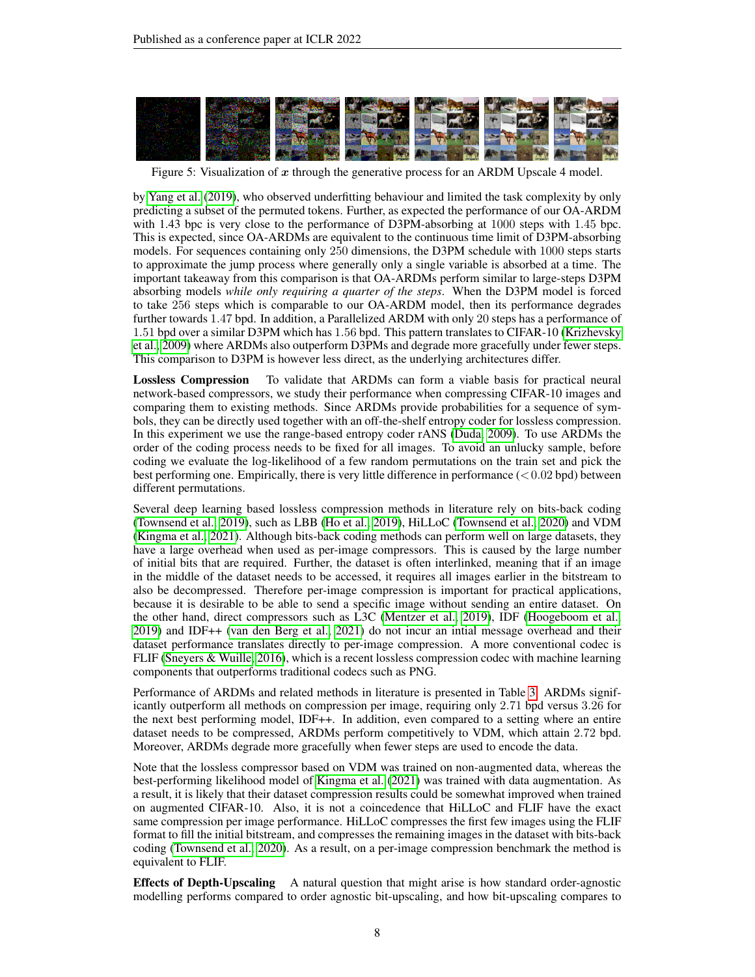

Figure 5: Visualization of  $x$  through the generative process for an ARDM Upscale 4 model.

by [Yang et al.](#page-12-1) [\(2019\)](#page-12-1), who observed underfitting behaviour and limited the task complexity by only predicting a subset of the permuted tokens. Further, as expected the performance of our OA-ARDM with 1.43 bpc is very close to the performance of D3PM-absorbing at 1000 steps with 1.45 bpc. This is expected, since OA-ARDMs are equivalent to the continuous time limit of D3PM-absorbing models. For sequences containing only 250 dimensions, the D3PM schedule with 1000 steps starts to approximate the jump process where generally only a single variable is absorbed at a time. The important takeaway from this comparison is that OA-ARDMs perform similar to large-steps D3PM absorbing models *while only requiring a quarter of the steps*. When the D3PM model is forced to take 256 steps which is comparable to our OA-ARDM model, then its performance degrades further towards 1.47 bpd. In addition, a Parallelized ARDM with only 20 steps has a performance of 1.51 bpd over a similar D3PM which has 1.56 bpd. This pattern translates to CIFAR-10 [\(Krizhevsky](#page-11-11) [et al., 2009\)](#page-11-11) where ARDMs also outperform D3PMs and degrade more gracefully under fewer steps. This comparison to D3PM is however less direct, as the underlying architectures differ.

Lossless Compression To validate that ARDMs can form a viable basis for practical neural network-based compressors, we study their performance when compressing CIFAR-10 images and comparing them to existing methods. Since ARDMs provide probabilities for a sequence of symbols, they can be directly used together with an off-the-shelf entropy coder for lossless compression. In this experiment we use the range-based entropy coder rANS [\(Duda, 2009\)](#page-9-9). To use ARDMs the order of the coding process needs to be fixed for all images. To avoid an unlucky sample, before coding we evaluate the log-likelihood of a few random permutations on the train set and pick the best performing one. Empirically, there is very little difference in performance  $(<0.02$  bpd) between different permutations.

Several deep learning based lossless compression methods in literature rely on bits-back coding [\(Townsend et al., 2019\)](#page-11-12), such as LBB [\(Ho et al., 2019\)](#page-10-12), HiLLoC [\(Townsend et al., 2020\)](#page-12-6) and VDM [\(Kingma et al., 2021\)](#page-10-7). Although bits-back coding methods can perform well on large datasets, they have a large overhead when used as per-image compressors. This is caused by the large number of initial bits that are required. Further, the dataset is often interlinked, meaning that if an image in the middle of the dataset needs to be accessed, it requires all images earlier in the bitstream to also be decompressed. Therefore per-image compression is important for practical applications, because it is desirable to be able to send a specific image without sending an entire dataset. On the other hand, direct compressors such as L3C [\(Mentzer et al., 2019\)](#page-11-13), IDF [\(Hoogeboom et al.,](#page-10-13) [2019\)](#page-10-13) and IDF++ [\(van den Berg et al., 2021\)](#page-12-7) do not incur an intial message overhead and their dataset performance translates directly to per-image compression. A more conventional codec is FLIF [\(Sneyers & Wuille, 2016\)](#page-11-14), which is a recent lossless compression codec with machine learning components that outperforms traditional codecs such as PNG.

Performance of ARDMs and related methods in literature is presented in Table [3.](#page-8-0) ARDMs significantly outperform all methods on compression per image, requiring only 2.71 bpd versus 3.26 for the next best performing model, IDF++. In addition, even compared to a setting where an entire dataset needs to be compressed, ARDMs perform competitively to VDM, which attain 2.72 bpd. Moreover, ARDMs degrade more gracefully when fewer steps are used to encode the data.

Note that the lossless compressor based on VDM was trained on non-augmented data, whereas the best-performing likelihood model of [Kingma et al.](#page-10-7) [\(2021\)](#page-10-7) was trained with data augmentation. As a result, it is likely that their dataset compression results could be somewhat improved when trained on augmented CIFAR-10. Also, it is not a coincedence that HiLLoC and FLIF have the exact same compression per image performance. HiLLoC compresses the first few images using the FLIF format to fill the initial bitstream, and compresses the remaining images in the dataset with bits-back coding [\(Townsend et al., 2020\)](#page-12-6). As a result, on a per-image compression benchmark the method is equivalent to FLIF.

**Effects of Depth-Upscaling** A natural question that might arise is how standard order-agnostic modelling performs compared to order agnostic bit-upscaling, and how bit-upscaling compares to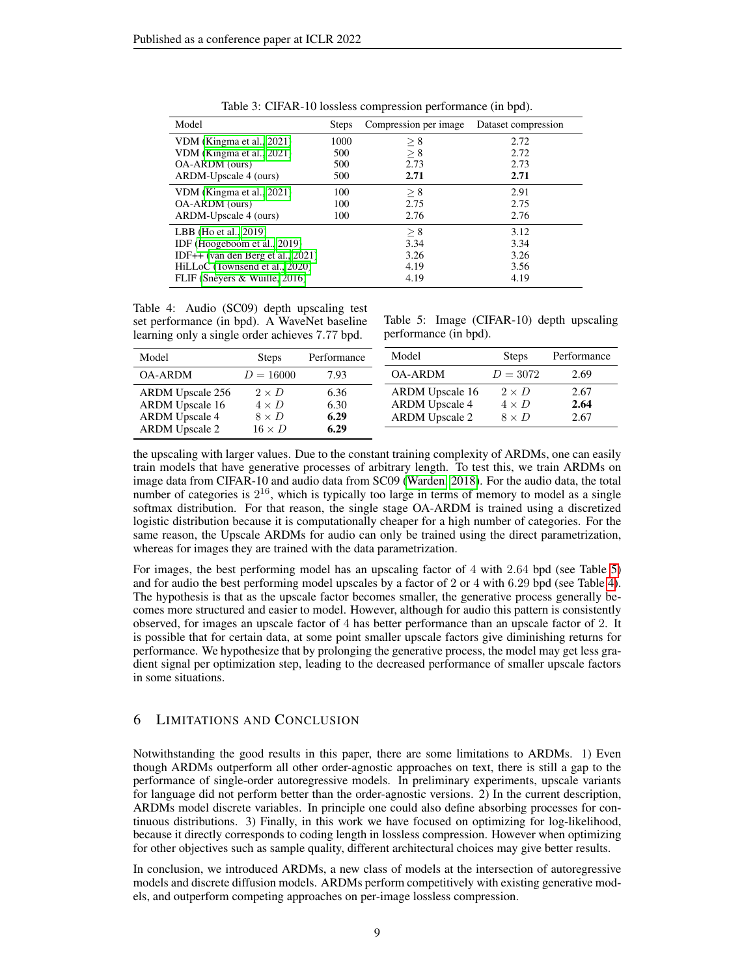<span id="page-8-0"></span>

| Model                                | <b>Steps</b> | Compression per image | Dataset compression |
|--------------------------------------|--------------|-----------------------|---------------------|
| VDM (Kingma et al., 2021)            | 1000         | > 8                   | 2.72                |
| VDM (Kingma et al., 2021)            | 500          | > 8                   | 2.72                |
| OA-ARDM (ours)                       | 500          | 2.73                  | 2.73                |
| ARDM-Upscale 4 (ours)                | 500          | 2.71                  | 2.71                |
| VDM (Kingma et al., 2021)            | 100          | > 8                   | 2.91                |
| OA-ARDM (ours)                       | 100          | 2.75                  | 2.75                |
| ARDM-Upscale 4 (ours)                | 100          | 2.76                  | 2.76                |
| LBB (Ho et al., 2019)                |              | > 8                   | 3.12                |
| IDF (Hoogeboom et al., 2019)         |              | 3.34                  | 3.34                |
| IDF++ (van den Berg et al., $2021$ ) |              | 3.26                  | 3.26                |
| HiLLoC (Townsend et al., 2020)       |              | 4.19                  | 3.56                |
| FLIF (Sneyers & Wuille, 2016)        |              | 4.19                  | 4.19                |

Table 3: CIFAR-10 lossless compression performance (in bpd).

<span id="page-8-2"></span>Table 4: Audio (SC09) depth upscaling test set performance (in bpd). A WaveNet baseline learning only a single order achieves 7.77 bpd.

<span id="page-8-1"></span>Table 5: Image (CIFAR-10) depth upscaling performance (in bpd).

| Model                   | <b>Steps</b>  | Performance | Model                  | <b>Steps</b> | Performance |
|-------------------------|---------------|-------------|------------------------|--------------|-------------|
| <b>OA-ARDM</b>          | $D = 16000$   | 7.93        | <b>OA-ARDM</b>         | $D = 3072$   | 2.69        |
| <b>ARDM</b> Upscale 256 | $2 \times D$  | 6.36        | <b>ARDM</b> Upscale 16 | $2 \times D$ | 2.67        |
| <b>ARDM</b> Upscale 16  | $4 \times D$  | 6.30        | <b>ARDM</b> Upscale 4  | $4 \times D$ | 2.64        |
| <b>ARDM</b> Upscale 4   | $8 \times D$  | 6.29        | <b>ARDM</b> Upscale 2  | $8 \times D$ | 2.67        |
| <b>ARDM</b> Upscale 2   | $16 \times D$ | 6.29        |                        |              |             |

the upscaling with larger values. Due to the constant training complexity of ARDMs, one can easily train models that have generative processes of arbitrary length. To test this, we train ARDMs on image data from CIFAR-10 and audio data from SC09 [\(Warden, 2018\)](#page-12-8). For the audio data, the total number of categories is  $2^{16}$ , which is typically too large in terms of memory to model as a single softmax distribution. For that reason, the single stage OA-ARDM is trained using a discretized logistic distribution because it is computationally cheaper for a high number of categories. For the same reason, the Upscale ARDMs for audio can only be trained using the direct parametrization, whereas for images they are trained with the data parametrization.

For images, the best performing model has an upscaling factor of 4 with 2.64 bpd (see Table [5\)](#page-8-1) and for audio the best performing model upscales by a factor of 2 or 4 with 6.29 bpd (see Table [4\)](#page-8-2). The hypothesis is that as the upscale factor becomes smaller, the generative process generally becomes more structured and easier to model. However, although for audio this pattern is consistently observed, for images an upscale factor of 4 has better performance than an upscale factor of 2. It is possible that for certain data, at some point smaller upscale factors give diminishing returns for performance. We hypothesize that by prolonging the generative process, the model may get less gradient signal per optimization step, leading to the decreased performance of smaller upscale factors in some situations.

## 6 LIMITATIONS AND CONCLUSION

Notwithstanding the good results in this paper, there are some limitations to ARDMs. 1) Even though ARDMs outperform all other order-agnostic approaches on text, there is still a gap to the performance of single-order autoregressive models. In preliminary experiments, upscale variants for language did not perform better than the order-agnostic versions. 2) In the current description, ARDMs model discrete variables. In principle one could also define absorbing processes for continuous distributions. 3) Finally, in this work we have focused on optimizing for log-likelihood, because it directly corresponds to coding length in lossless compression. However when optimizing for other objectives such as sample quality, different architectural choices may give better results.

In conclusion, we introduced ARDMs, a new class of models at the intersection of autoregressive models and discrete diffusion models. ARDMs perform competitively with existing generative models, and outperform competing approaches on per-image lossless compression.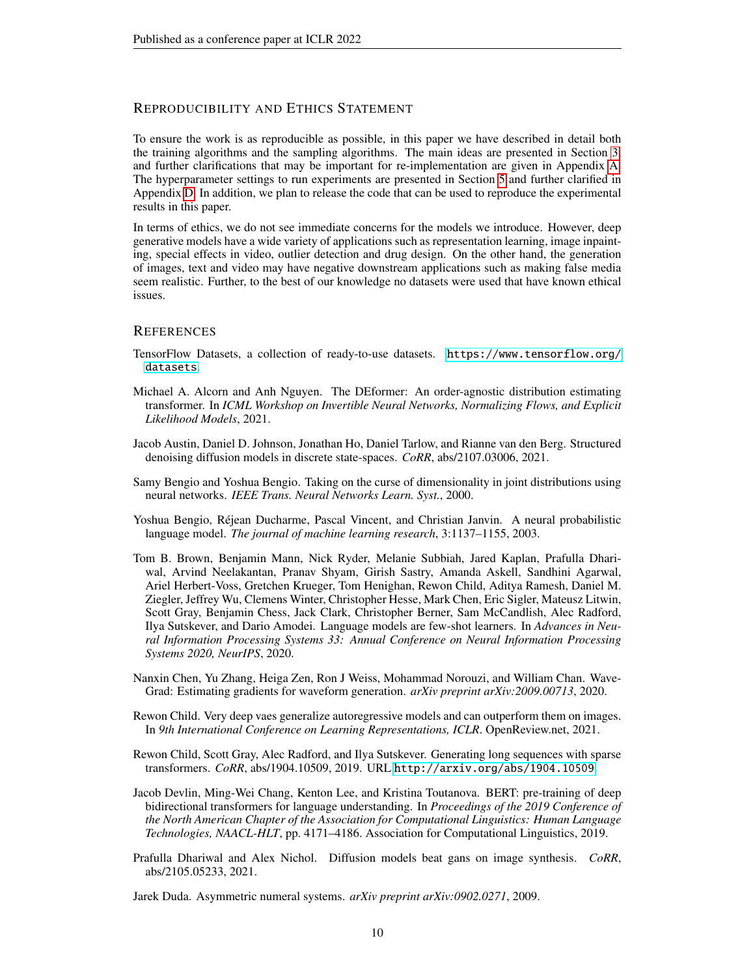## REPRODUCIBILITY AND ETHICS STATEMENT

To ensure the work is as reproducible as possible, in this paper we have described in detail both the training algorithms and the sampling algorithms. The main ideas are presented in Section [3,](#page-1-1) and further clarifications that may be important for re-implementation are given in Appendix [A.](#page-13-0) The hyperparameter settings to run experiments are presented in Section [5](#page-6-1) and further clarified in Appendix [D.](#page-21-0) In addition, we plan to release the code that can be used to reproduce the experimental results in this paper.

In terms of ethics, we do not see immediate concerns for the models we introduce. However, deep generative models have a wide variety of applications such as representation learning, image inpainting, special effects in video, outlier detection and drug design. On the other hand, the generation of images, text and video may have negative downstream applications such as making false media seem realistic. Further, to the best of our knowledge no datasets were used that have known ethical issues.

#### **REFERENCES**

- <span id="page-9-11"></span>TensorFlow Datasets, a collection of ready-to-use datasets. [https://www.tensorflow.org/](https://www.tensorflow.org/datasets) [datasets](https://www.tensorflow.org/datasets).
- <span id="page-9-6"></span>Michael A. Alcorn and Anh Nguyen. The DEformer: An order-agnostic distribution estimating transformer. In *ICML Workshop on Invertible Neural Networks, Normalizing Flows, and Explicit Likelihood Models*, 2021.
- <span id="page-9-0"></span>Jacob Austin, Daniel D. Johnson, Jonathan Ho, Daniel Tarlow, and Rianne van den Berg. Structured denoising diffusion models in discrete state-spaces. *CoRR*, abs/2107.03006, 2021.
- <span id="page-9-2"></span>Samy Bengio and Yoshua Bengio. Taking on the curse of dimensionality in joint distributions using neural networks. *IEEE Trans. Neural Networks Learn. Syst.*, 2000.
- <span id="page-9-4"></span>Yoshua Bengio, Réjean Ducharme, Pascal Vincent, and Christian Janvin. A neural probabilistic language model. *The journal of machine learning research*, 3:1137–1155, 2003.
- <span id="page-9-5"></span>Tom B. Brown, Benjamin Mann, Nick Ryder, Melanie Subbiah, Jared Kaplan, Prafulla Dhariwal, Arvind Neelakantan, Pranav Shyam, Girish Sastry, Amanda Askell, Sandhini Agarwal, Ariel Herbert-Voss, Gretchen Krueger, Tom Henighan, Rewon Child, Aditya Ramesh, Daniel M. Ziegler, Jeffrey Wu, Clemens Winter, Christopher Hesse, Mark Chen, Eric Sigler, Mateusz Litwin, Scott Gray, Benjamin Chess, Jack Clark, Christopher Berner, Sam McCandlish, Alec Radford, Ilya Sutskever, and Dario Amodei. Language models are few-shot learners. In *Advances in Neural Information Processing Systems 33: Annual Conference on Neural Information Processing Systems 2020, NeurIPS*, 2020.
- <span id="page-9-8"></span>Nanxin Chen, Yu Zhang, Heiga Zen, Ron J Weiss, Mohammad Norouzi, and William Chan. Wave-Grad: Estimating gradients for waveform generation. *arXiv preprint arXiv:2009.00713*, 2020.
- <span id="page-9-10"></span>Rewon Child. Very deep vaes generalize autoregressive models and can outperform them on images. In *9th International Conference on Learning Representations, ICLR*. OpenReview.net, 2021.
- <span id="page-9-3"></span>Rewon Child, Scott Gray, Alec Radford, and Ilya Sutskever. Generating long sequences with sparse transformers. *CoRR*, abs/1904.10509, 2019. URL <http://arxiv.org/abs/1904.10509>.
- <span id="page-9-1"></span>Jacob Devlin, Ming-Wei Chang, Kenton Lee, and Kristina Toutanova. BERT: pre-training of deep bidirectional transformers for language understanding. In *Proceedings of the 2019 Conference of the North American Chapter of the Association for Computational Linguistics: Human Language Technologies, NAACL-HLT*, pp. 4171–4186. Association for Computational Linguistics, 2019.
- <span id="page-9-7"></span>Prafulla Dhariwal and Alex Nichol. Diffusion models beat gans on image synthesis. *CoRR*, abs/2105.05233, 2021.

<span id="page-9-9"></span>Jarek Duda. Asymmetric numeral systems. *arXiv preprint arXiv:0902.0271*, 2009.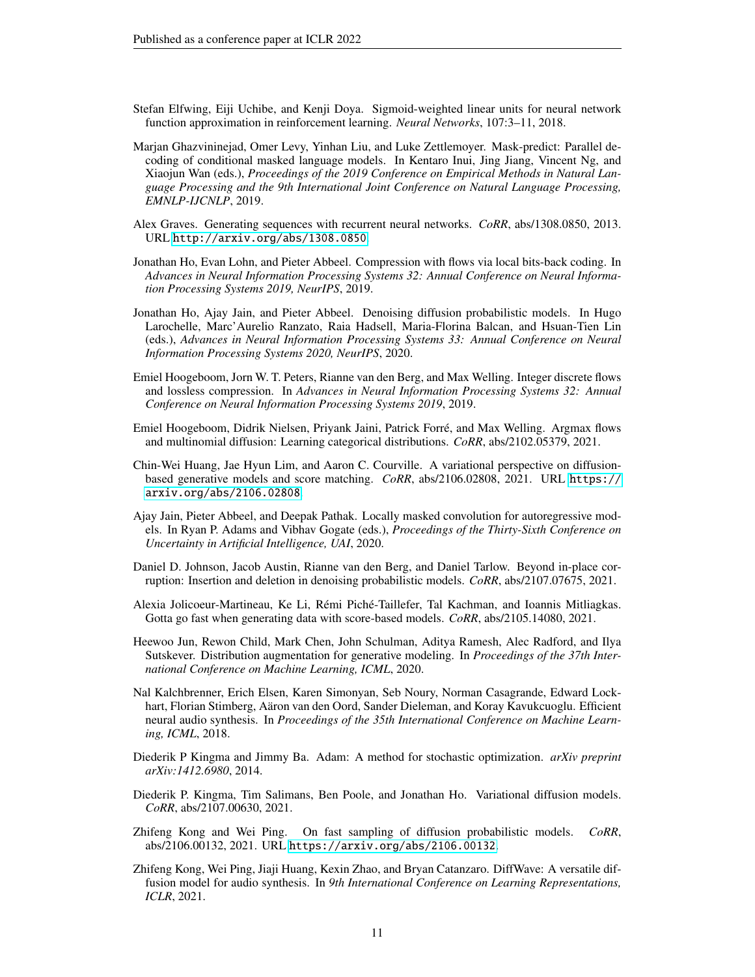- <span id="page-10-15"></span>Stefan Elfwing, Eiji Uchibe, and Kenji Doya. Sigmoid-weighted linear units for neural network function approximation in reinforcement learning. *Neural Networks*, 107:3–11, 2018.
- <span id="page-10-5"></span>Marjan Ghazvininejad, Omer Levy, Yinhan Liu, and Luke Zettlemoyer. Mask-predict: Parallel decoding of conditional masked language models. In Kentaro Inui, Jing Jiang, Vincent Ng, and Xiaojun Wan (eds.), *Proceedings of the 2019 Conference on Empirical Methods in Natural Language Processing and the 9th International Joint Conference on Natural Language Processing, EMNLP-IJCNLP*, 2019.
- <span id="page-10-4"></span>Alex Graves. Generating sequences with recurrent neural networks. *CoRR*, abs/1308.0850, 2013. URL <http://arxiv.org/abs/1308.0850>.
- <span id="page-10-12"></span>Jonathan Ho, Evan Lohn, and Pieter Abbeel. Compression with flows via local bits-back coding. In *Advances in Neural Information Processing Systems 32: Annual Conference on Neural Information Processing Systems 2019, NeurIPS*, 2019.
- <span id="page-10-2"></span>Jonathan Ho, Ajay Jain, and Pieter Abbeel. Denoising diffusion probabilistic models. In Hugo Larochelle, Marc'Aurelio Ranzato, Raia Hadsell, Maria-Florina Balcan, and Hsuan-Tien Lin (eds.), *Advances in Neural Information Processing Systems 33: Annual Conference on Neural Information Processing Systems 2020, NeurIPS*, 2020.
- <span id="page-10-13"></span>Emiel Hoogeboom, Jorn W. T. Peters, Rianne van den Berg, and Max Welling. Integer discrete flows and lossless compression. In *Advances in Neural Information Processing Systems 32: Annual Conference on Neural Information Processing Systems 2019*, 2019.
- <span id="page-10-0"></span>Emiel Hoogeboom, Didrik Nielsen, Priyank Jaini, Patrick Forré, and Max Welling. Argmax flows and multinomial diffusion: Learning categorical distributions. *CoRR*, abs/2102.05379, 2021.
- <span id="page-10-8"></span>Chin-Wei Huang, Jae Hyun Lim, and Aaron C. Courville. A variational perspective on diffusionbased generative models and score matching. *CoRR*, abs/2106.02808, 2021. URL [https://](https://arxiv.org/abs/2106.02808) [arxiv.org/abs/2106.02808](https://arxiv.org/abs/2106.02808).
- <span id="page-10-1"></span>Ajay Jain, Pieter Abbeel, and Deepak Pathak. Locally masked convolution for autoregressive models. In Ryan P. Adams and Vibhav Gogate (eds.), *Proceedings of the Thirty-Sixth Conference on Uncertainty in Artificial Intelligence, UAI*, 2020.
- <span id="page-10-11"></span>Daniel D. Johnson, Jacob Austin, Rianne van den Berg, and Daniel Tarlow. Beyond in-place corruption: Insertion and deletion in denoising probabilistic models. *CoRR*, abs/2107.07675, 2021.
- <span id="page-10-9"></span>Alexia Jolicoeur-Martineau, Ke Li, Rémi Piché-Taillefer, Tal Kachman, and Ioannis Mitliagkas. Gotta go fast when generating data with score-based models. *CoRR*, abs/2105.14080, 2021.
- <span id="page-10-14"></span>Heewoo Jun, Rewon Child, Mark Chen, John Schulman, Aditya Ramesh, Alec Radford, and Ilya Sutskever. Distribution augmentation for generative modeling. In *Proceedings of the 37th International Conference on Machine Learning, ICML*, 2020.
- <span id="page-10-3"></span>Nal Kalchbrenner, Erich Elsen, Karen Simonyan, Seb Noury, Norman Casagrande, Edward Lockhart, Florian Stimberg, Aäron van den Oord, Sander Dieleman, and Koray Kavukcuoglu. Efficient neural audio synthesis. In *Proceedings of the 35th International Conference on Machine Learning, ICML*, 2018.
- <span id="page-10-16"></span>Diederik P Kingma and Jimmy Ba. Adam: A method for stochastic optimization. *arXiv preprint arXiv:1412.6980*, 2014.
- <span id="page-10-7"></span>Diederik P. Kingma, Tim Salimans, Ben Poole, and Jonathan Ho. Variational diffusion models. *CoRR*, abs/2107.00630, 2021.
- <span id="page-10-10"></span>Zhifeng Kong and Wei Ping. On fast sampling of diffusion probabilistic models. *CoRR*, abs/2106.00132, 2021. URL <https://arxiv.org/abs/2106.00132>.
- <span id="page-10-6"></span>Zhifeng Kong, Wei Ping, Jiaji Huang, Kexin Zhao, and Bryan Catanzaro. DiffWave: A versatile diffusion model for audio synthesis. In *9th International Conference on Learning Representations, ICLR*, 2021.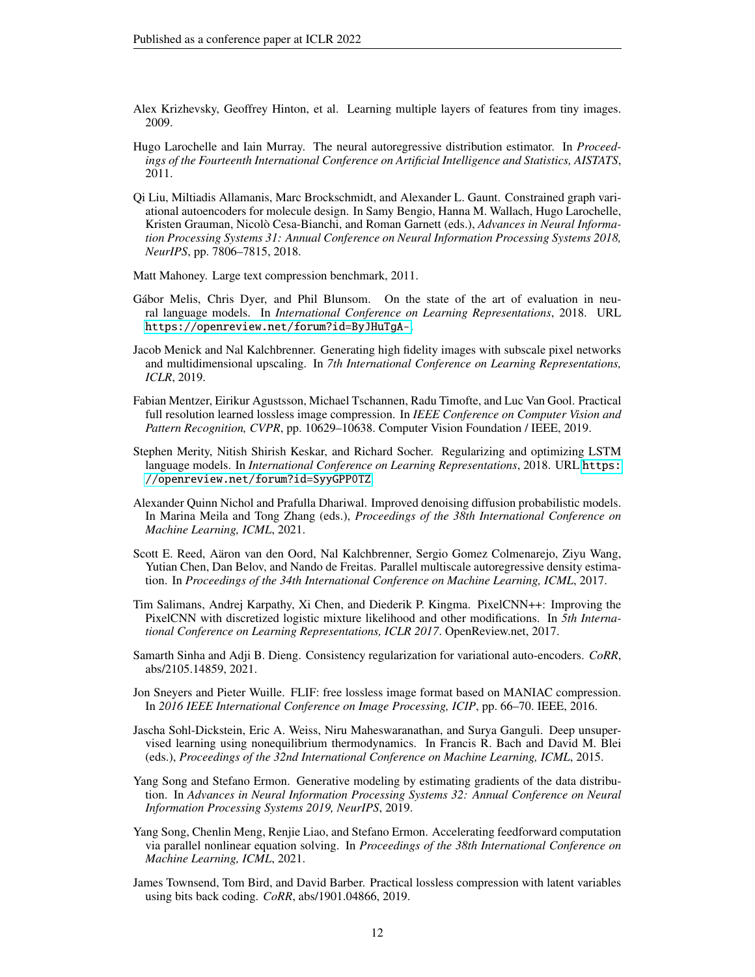- <span id="page-11-11"></span>Alex Krizhevsky, Geoffrey Hinton, et al. Learning multiple layers of features from tiny images. 2009.
- <span id="page-11-3"></span>Hugo Larochelle and Iain Murray. The neural autoregressive distribution estimator. In *Proceedings of the Fourteenth International Conference on Artificial Intelligence and Statistics, AISTATS*, 2011.
- <span id="page-11-8"></span>Qi Liu, Miltiadis Allamanis, Marc Brockschmidt, and Alexander L. Gaunt. Constrained graph variational autoencoders for molecule design. In Samy Bengio, Hanna M. Wallach, Hugo Larochelle, Kristen Grauman, Nicolò Cesa-Bianchi, and Roman Garnett (eds.), *Advances in Neural Information Processing Systems 31: Annual Conference on Neural Information Processing Systems 2018, NeurIPS*, pp. 7806–7815, 2018.
- <span id="page-11-10"></span>Matt Mahoney. Large text compression benchmark, 2011.
- <span id="page-11-4"></span>Gábor Melis, Chris Dyer, and Phil Blunsom. On the state of the art of evaluation in neural language models. In *International Conference on Learning Representations*, 2018. URL <https://openreview.net/forum?id=ByJHuTgA->.
- <span id="page-11-2"></span>Jacob Menick and Nal Kalchbrenner. Generating high fidelity images with subscale pixel networks and multidimensional upscaling. In *7th International Conference on Learning Representations, ICLR*, 2019.
- <span id="page-11-13"></span>Fabian Mentzer, Eirikur Agustsson, Michael Tschannen, Radu Timofte, and Luc Van Gool. Practical full resolution learned lossless image compression. In *IEEE Conference on Computer Vision and Pattern Recognition, CVPR*, pp. 10629–10638. Computer Vision Foundation / IEEE, 2019.
- <span id="page-11-5"></span>Stephen Merity, Nitish Shirish Keskar, and Richard Socher. Regularizing and optimizing LSTM language models. In *International Conference on Learning Representations*, 2018. URL [https:](https://openreview.net/forum?id=SyyGPP0TZ) [//openreview.net/forum?id=SyyGPP0TZ](https://openreview.net/forum?id=SyyGPP0TZ).
- <span id="page-11-15"></span>Alexander Quinn Nichol and Prafulla Dhariwal. Improved denoising diffusion probabilistic models. In Marina Meila and Tong Zhang (eds.), *Proceedings of the 38th International Conference on Machine Learning, ICML*, 2021.
- <span id="page-11-6"></span>Scott E. Reed, Aäron van den Oord, Nal Kalchbrenner, Sergio Gomez Colmenarejo, Ziyu Wang, Yutian Chen, Dan Belov, and Nando de Freitas. Parallel multiscale autoregressive density estimation. In *Proceedings of the 34th International Conference on Machine Learning, ICML*, 2017.
- <span id="page-11-1"></span>Tim Salimans, Andrej Karpathy, Xi Chen, and Diederik P. Kingma. PixelCNN++: Improving the PixelCNN with discretized logistic mixture likelihood and other modifications. In *5th International Conference on Learning Representations, ICLR 2017*. OpenReview.net, 2017.
- <span id="page-11-16"></span>Samarth Sinha and Adji B. Dieng. Consistency regularization for variational auto-encoders. *CoRR*, abs/2105.14859, 2021.
- <span id="page-11-14"></span>Jon Sneyers and Pieter Wuille. FLIF: free lossless image format based on MANIAC compression. In *2016 IEEE International Conference on Image Processing, ICIP*, pp. 66–70. IEEE, 2016.
- <span id="page-11-0"></span>Jascha Sohl-Dickstein, Eric A. Weiss, Niru Maheswaranathan, and Surya Ganguli. Deep unsupervised learning using nonequilibrium thermodynamics. In Francis R. Bach and David M. Blei (eds.), *Proceedings of the 32nd International Conference on Machine Learning, ICML*, 2015.
- <span id="page-11-9"></span>Yang Song and Stefano Ermon. Generative modeling by estimating gradients of the data distribution. In *Advances in Neural Information Processing Systems 32: Annual Conference on Neural Information Processing Systems 2019, NeurIPS*, 2019.
- <span id="page-11-7"></span>Yang Song, Chenlin Meng, Renjie Liao, and Stefano Ermon. Accelerating feedforward computation via parallel nonlinear equation solving. In *Proceedings of the 38th International Conference on Machine Learning, ICML*, 2021.
- <span id="page-11-12"></span>James Townsend, Tom Bird, and David Barber. Practical lossless compression with latent variables using bits back coding. *CoRR*, abs/1901.04866, 2019.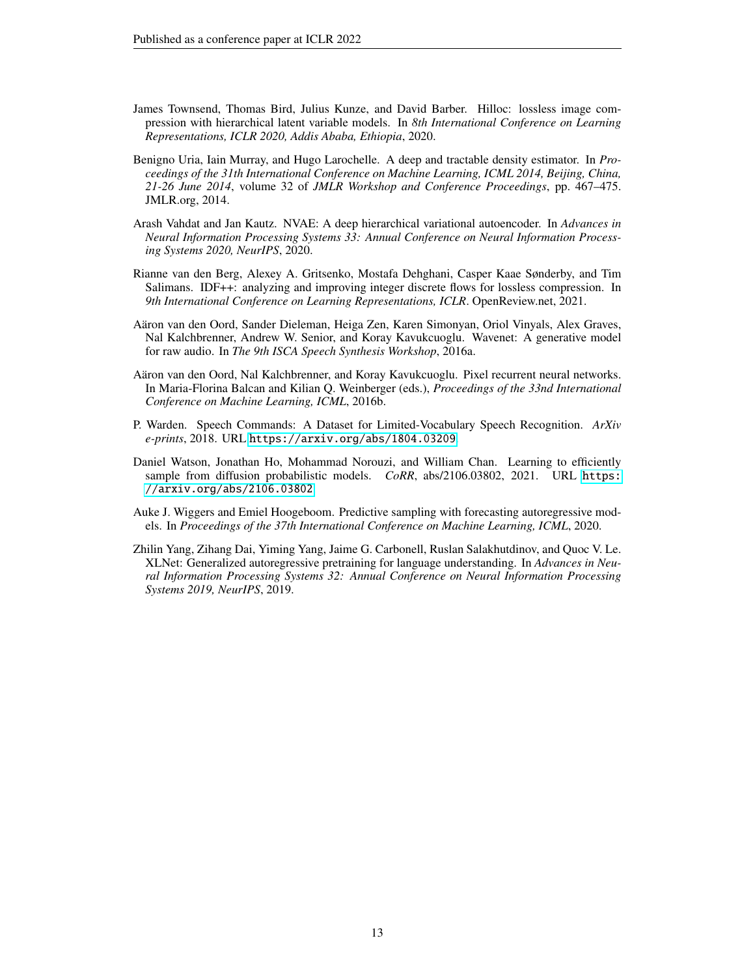- <span id="page-12-6"></span>James Townsend, Thomas Bird, Julius Kunze, and David Barber. Hilloc: lossless image compression with hierarchical latent variable models. In *8th International Conference on Learning Representations, ICLR 2020, Addis Ababa, Ethiopia*, 2020.
- <span id="page-12-0"></span>Benigno Uria, Iain Murray, and Hugo Larochelle. A deep and tractable density estimator. In *Proceedings of the 31th International Conference on Machine Learning, ICML 2014, Beijing, China, 21-26 June 2014*, volume 32 of *JMLR Workshop and Conference Proceedings*, pp. 467–475. JMLR.org, 2014.
- <span id="page-12-9"></span>Arash Vahdat and Jan Kautz. NVAE: A deep hierarchical variational autoencoder. In *Advances in Neural Information Processing Systems 33: Annual Conference on Neural Information Processing Systems 2020, NeurIPS*, 2020.
- <span id="page-12-7"></span>Rianne van den Berg, Alexey A. Gritsenko, Mostafa Dehghani, Casper Kaae Sønderby, and Tim Salimans. IDF++: analyzing and improving integer discrete flows for lossless compression. In *9th International Conference on Learning Representations, ICLR*. OpenReview.net, 2021.
- <span id="page-12-4"></span>Aäron van den Oord, Sander Dieleman, Heiga Zen, Karen Simonyan, Oriol Vinyals, Alex Graves, Nal Kalchbrenner, Andrew W. Senior, and Koray Kavukcuoglu. Wavenet: A generative model for raw audio. In *The 9th ISCA Speech Synthesis Workshop*, 2016a.
- <span id="page-12-3"></span>Aäron van den Oord, Nal Kalchbrenner, and Koray Kavukcuoglu. Pixel recurrent neural networks. In Maria-Florina Balcan and Kilian Q. Weinberger (eds.), *Proceedings of the 33nd International Conference on Machine Learning, ICML*, 2016b.
- <span id="page-12-8"></span>P. Warden. Speech Commands: A Dataset for Limited-Vocabulary Speech Recognition. *ArXiv e-prints*, 2018. URL <https://arxiv.org/abs/1804.03209>.
- <span id="page-12-2"></span>Daniel Watson, Jonathan Ho, Mohammad Norouzi, and William Chan. Learning to efficiently sample from diffusion probabilistic models. *CoRR*, abs/2106.03802, 2021. URL [https:](https://arxiv.org/abs/2106.03802) [//arxiv.org/abs/2106.03802](https://arxiv.org/abs/2106.03802).
- <span id="page-12-5"></span>Auke J. Wiggers and Emiel Hoogeboom. Predictive sampling with forecasting autoregressive models. In *Proceedings of the 37th International Conference on Machine Learning, ICML*, 2020.
- <span id="page-12-1"></span>Zhilin Yang, Zihang Dai, Yiming Yang, Jaime G. Carbonell, Ruslan Salakhutdinov, and Quoc V. Le. XLNet: Generalized autoregressive pretraining for language understanding. In *Advances in Neural Information Processing Systems 32: Annual Conference on Neural Information Processing Systems 2019, NeurIPS*, 2019.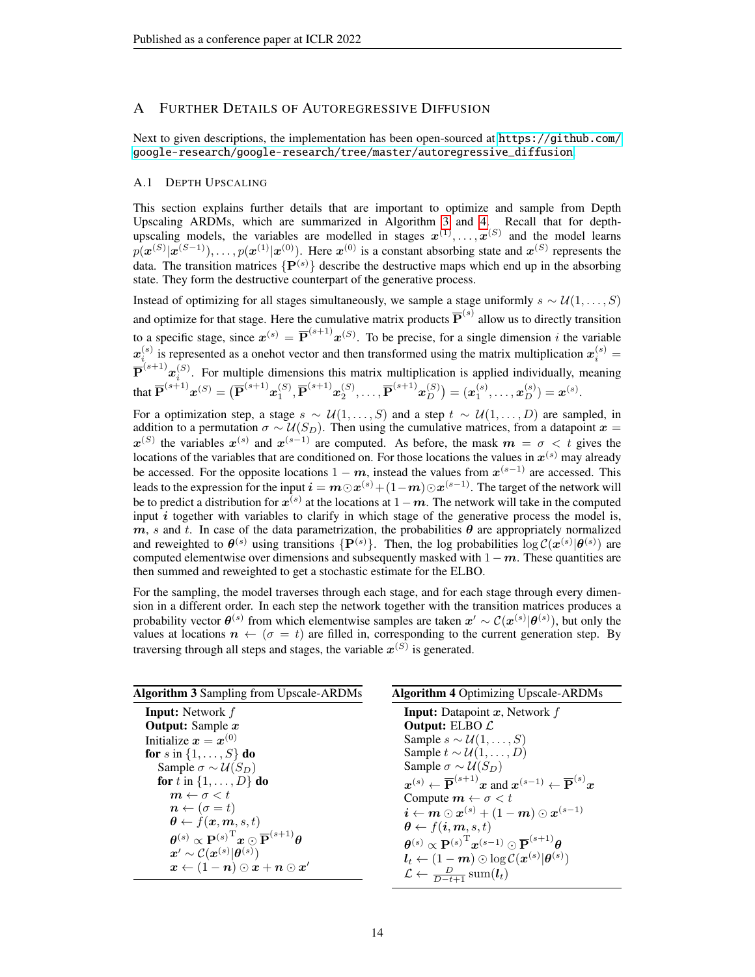## <span id="page-13-0"></span>A FURTHER DETAILS OF AUTOREGRESSIVE DIFFUSION

Next to given descriptions, the implementation has been open-sourced at [https://github.com/](https://github.com/google-research/google-research/tree/master/autoregressive_diffusion) [google-research/google-research/tree/master/autoregressive\\_diffusion](https://github.com/google-research/google-research/tree/master/autoregressive_diffusion).

#### A.1 DEPTH UPSCALING

This section explains further details that are important to optimize and sample from Depth Upscaling ARDMs, which are summarized in Algorithm [3](#page-13-1) and [4.](#page-13-1) Recall that for depthupscaling models, the variables are modelled in stages  $x^{(1)}, \ldots, x^{(S)}$  and the model learns  $p(\boldsymbol{x}^{(S)}|\boldsymbol{x}^{(S-1)}), \ldots, p(\boldsymbol{x}^{(1)}|\boldsymbol{x}^{(0)})$ . Here  $\boldsymbol{x}^{(0)}$  is a constant absorbing state and  $\boldsymbol{x}^{(S)}$  represents the data. The transition matrices  $\{P^{(s)}\}$  describe the destructive maps which end up in the absorbing state. They form the destructive counterpart of the generative process.

Instead of optimizing for all stages simultaneously, we sample a stage uniformly  $s \sim \mathcal{U}(1, \ldots, S)$ and optimize for that stage. Here the cumulative matrix products  $\overline{P}^{(s)}$  allow us to directly transition to a specific stage, since  $x^{(s)} = \overline{P}^{(s+1)} x^{(S)}$ . To be precise, for a single dimension i the variable  $x_i^{(s)}$  is represented as a onehot vector and then transformed using the matrix multiplication  $x_i^{(s)}$  = i  $\overline{\mathbf{P}}^{(s+1)}x_i^{(S)}$ . For multiple dimensions this matrix multiplication is applied individually, meaning that  $\overline{\mathbf{P}}^{(s+1)}\bm{x}^{(S)} = \big(\overline{\mathbf{P}}^{(s+1)}\bm{x}_1^{(S)}, \overline{\mathbf{P}}^{(s+1)}\bm{x}_2^{(S)}, \ldots, \overline{\mathbf{P}}^{(s+1)}\bm{x}_D^{(S)}$  $\binom{(S)}{D} = (\bm{x}_1^{(s)}, \dots, \bm{x}_D^{(s)}) = \bm{x}^{(s)}.$ 

For a optimization step, a stage  $s \sim \mathcal{U}(1,\ldots,S)$  and a step  $t \sim \mathcal{U}(1,\ldots,D)$  are sampled, in addition to a permutation  $\sigma \sim \mathcal{U}(S_D)$ . Then using the cumulative matrices, from a datapoint  $x =$  $x^{(S)}$  the variables  $x^{(s)}$  and  $x^{(s-1)}$  are computed. As before, the mask  $m = \sigma < t$  gives the locations of the variables that are conditioned on. For those locations the values in  $x^{(s)}$  may already be accessed. For the opposite locations  $1 - m$ , instead the values from  $x^{(s-1)}$  are accessed. This leads to the expression for the input  $\bm{i} = \bm{m} \odot \bm{x}^{(s)} + (1-\bm{m}) \odot \bm{x}^{(s-1)}$ . The target of the network will be to predict a distribution for  $x^{(s)}$  at the locations at  $1-m$ . The network will take in the computed input  $i$  together with variables to clarify in which stage of the generative process the model is,  $m$ , s and t. In case of the data parametrization, the probabilities  $\theta$  are appropriately normalized and reweighted to  $\theta^{(s)}$  using transitions  $\{P^{(s)}\}$ . Then, the log probabilities  $\log \mathcal{C}(x^{(s)}|\theta^{(s)})$  are computed elementwise over dimensions and subsequently masked with  $1 - m$ . These quantities are then summed and reweighted to get a stochastic estimate for the ELBO.

For the sampling, the model traverses through each stage, and for each stage through every dimension in a different order. In each step the network together with the transition matrices produces a probability vector  $\theta^{(s)}$  from which elementwise samples are taken  $x' \sim C(x^{(s)} | \theta^{(s)})$ , but only the values at locations  $n \leftarrow (\sigma = t)$  are filled in, corresponding to the current generation step. By traversing through all steps and stages, the variable  $x^{(S)}$  is generated.

<span id="page-13-1"></span>

| <b>Algorithm 3 Sampling from Upscale-ARDMs</b>                                                                                         | <b>Algorithm 4 Optimizing Upscale-ARDMs</b>                                                                                                                       |
|----------------------------------------------------------------------------------------------------------------------------------------|-------------------------------------------------------------------------------------------------------------------------------------------------------------------|
| <b>Input:</b> Network f                                                                                                                | <b>Input:</b> Datapoint $x$ , Network $f$                                                                                                                         |
| <b>Output:</b> Sample $x$                                                                                                              | Output: ELBO $\mathcal L$                                                                                                                                         |
| Initialize $x = x^{(0)}$                                                                                                               | Sample $s \sim \mathcal{U}(1,\ldots,S)$                                                                                                                           |
| for s in $\{1, \ldots, S\}$ do                                                                                                         | Sample $t \sim \mathcal{U}(1,\ldots,D)$                                                                                                                           |
| Sample $\sigma \sim \mathcal{U}(S_D)$                                                                                                  | Sample $\sigma \sim \mathcal{U}(S_D)$                                                                                                                             |
| for t in $\{1,\ldots,D\}$ do                                                                                                           | $\boldsymbol{x}^{(s)} \leftarrow \overline{\mathbf{P}}^{(s+1)} \boldsymbol{x}$ and $\boldsymbol{x}^{(s-1)} \leftarrow \overline{\mathbf{P}}^{(s)} \boldsymbol{x}$ |
| $m \leftarrow \sigma < t$                                                                                                              | Compute $m \leftarrow \sigma \lt t$                                                                                                                               |
| $\boldsymbol{n} \leftarrow (\sigma = t)$                                                                                               | $\boldsymbol{i} \leftarrow \boldsymbol{m} \odot \boldsymbol{x}^{(s)} + (1 - \boldsymbol{m}) \odot \boldsymbol{x}^{(s-1)}$                                         |
| $\theta \leftarrow f(x, m, s, t)$                                                                                                      | $\theta \leftarrow f(i, m, s, t)$                                                                                                                                 |
| $\boldsymbol{\theta}^{(s)} \propto \mathbf{P}^{(s)^\mathrm{T}} \boldsymbol{x} \odot \overline{\mathbf{P}}^{(s+1)} \boldsymbol{\theta}$ | $\boldsymbol{\theta}^{(s)} \propto \mathbf{P}^{(s)^\mathrm{T}} \boldsymbol{x}^{(s-1)} \odot \overline{\mathbf{P}}^{(s+1)} \boldsymbol{\theta}$                    |
| $\bm{x}' \sim \mathcal{C}(\bm{x}^{(s)} \bm{\theta}^{(s)})$                                                                             | $l_t \leftarrow (1-m) \odot \log \mathcal{C}(\boldsymbol{x}^{(s)} \boldsymbol{\theta}^{(s)})$                                                                     |
| $\boldsymbol{x} \leftarrow (1 - \boldsymbol{n}) \odot \boldsymbol{x} + \boldsymbol{n} \odot \boldsymbol{x}'$                           | $\mathcal{L} \leftarrow \frac{D}{D-t+1} \operatorname{sum}(\bm{l}_t)$                                                                                             |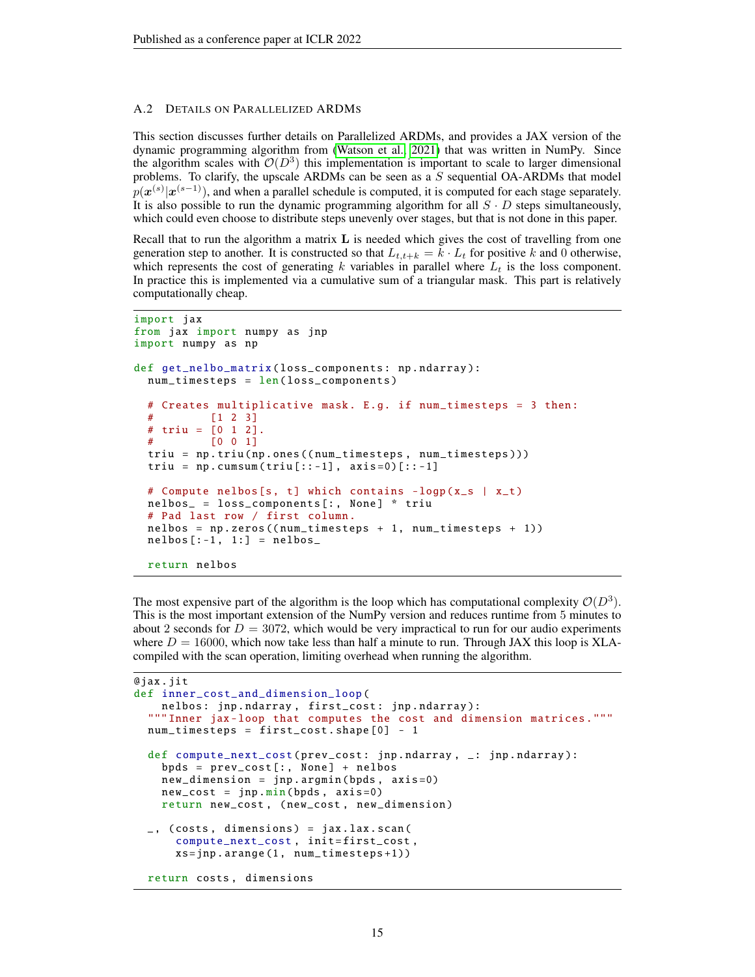#### A.2 DETAILS ON PARALLELIZED ARDMS

This section discusses further details on Parallelized ARDMs, and provides a JAX version of the dynamic programming algorithm from [\(Watson et al., 2021\)](#page-12-2) that was written in NumPy. Since the algorithm scales with  $\mathcal{O}(D^3)$  this implementation is important to scale to larger dimensional problems. To clarify, the upscale ARDMs can be seen as a  $S$  sequential OA-ARDMs that model  $p(\boldsymbol{x}^{(s)}|\boldsymbol{x}^{(s-1)})$ , and when a parallel schedule is computed, it is computed for each stage separately. It is also possible to run the dynamic programming algorithm for all  $S \cdot D$  steps simultaneously, which could even choose to distribute steps unevenly over stages, but that is not done in this paper.

Recall that to run the algorithm a matrix  $\bf{L}$  is needed which gives the cost of travelling from one generation step to another. It is constructed so that  $L_{t,t+k} = k \cdot L_t$  for positive k and 0 otherwise, which represents the cost of generating k variables in parallel where  $L_t$  is the loss component. In practice this is implemented via a cumulative sum of a triangular mask. This part is relatively computationally cheap.

```
import jax
from jax import numpy as jnp
import numpy as np
def get_nelbo_matrix ( loss_components : np . ndarray ):
 num_timesteps = len( loss_components )
  # Creates multiplicative mask . E.g. if num_timesteps = 3 then :
 # [1 2 3]
 # triu = [0 1 2].# [0 0 1]
 triu = np.triu(np.ones((num_timesteps, num_timesteps)))
 triu = np.cumsum(triu[::-1], axis=0)[::-1]# Compute nelbos [s, t] which contains -logp (x_s | x_t)
 nelbos_ = loss_components [: , None ] * triu
  # Pad last row / first column .
 nelbos = np.zeros((num_timesteps + 1, num_timesteps + 1))nelbos [-1, 1:] = nelbosreturn nelbos
```
The most expensive part of the algorithm is the loop which has computational complexity  $\mathcal{O}(D^3)$ . This is the most important extension of the NumPy version and reduces runtime from 5 minutes to about 2 seconds for  $D = 3072$ , which would be very impractical to run for our audio experiments where  $D = 16000$ , which now take less than half a minute to run. Through JAX this loop is XLAcompiled with the scan operation, limiting overhead when running the algorithm.

```
@jax . jit
def inner_cost_and_dimension_loop (
    nelbos : jnp . ndarray , first_cost : jnp . ndarray ):
  """ Inner jax - loop that computes the cost and dimension matrices ."""
  num_timesteps = first_cost . shape [0] - 1
  def compute_next_cost ( prev_cost : jnp . ndarray , _: jnp . ndarray ) :
    bpds = prev\_cost[:, None] + nelbosnew_dimension = jnp . argmin ( bpds , axis =0)
    new\_cost = jnp.min(bpds, axis=0)return new_cost , ( new_cost , new_dimension )
  \Box, (costs, dimensions) = jax.lax.scan(
      compute_next_cost, init=first_cost,
      xs = jnp . arange (1 , num_timesteps +1))
  return costs , dimensions
```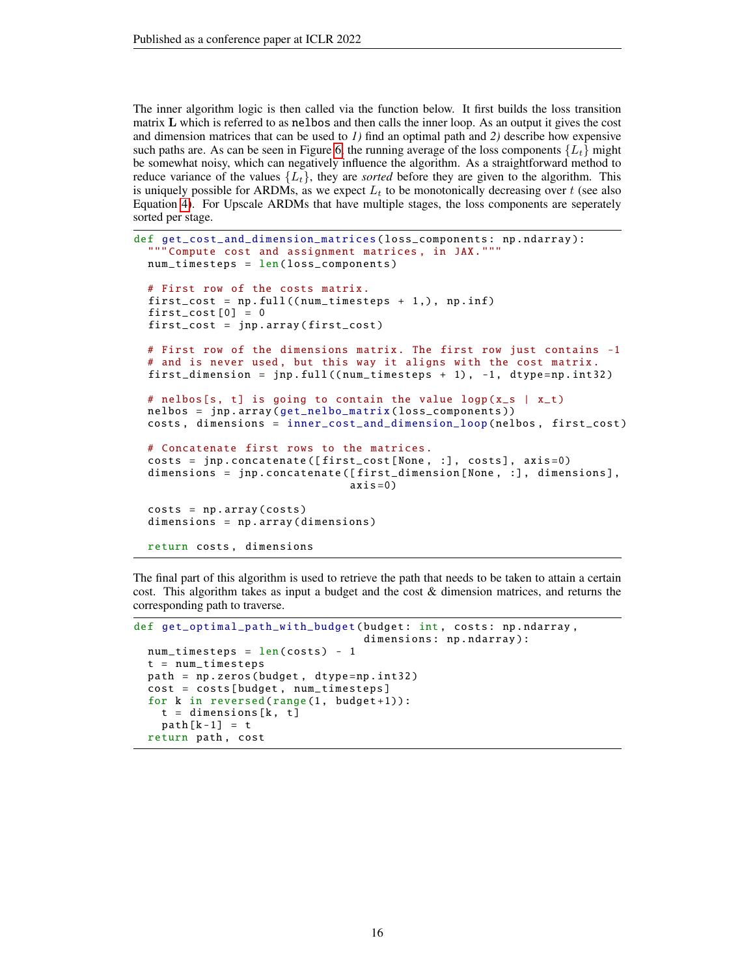The inner algorithm logic is then called via the function below. It first builds the loss transition matrix L which is referred to as nelbos and then calls the inner loop. As an output it gives the cost and dimension matrices that can be used to *1)* find an optimal path and *2)* describe how expensive such paths are. As can be seen in Figure [6,](#page-17-0) the running average of the loss components  $\{L_t\}$  might be somewhat noisy, which can negatively influence the algorithm. As a straightforward method to reduce variance of the values  $\{L_t\}$ , they are *sorted* before they are given to the algorithm. This is uniquely possible for ARDMs, as we expect  $L_t$  to be monotonically decreasing over t (see also Equation [4\)](#page-4-0). For Upscale ARDMs that have multiple stages, the loss components are seperately sorted per stage.

```
def get_cost_and_dimension_matrices ( loss_components : np . ndarray ):
  """ Compute cost and assignment matrices , in JAX."""
 num_timesteps = len( loss_components )
  # First row of the costs matrix .
  first\_cost = np.find((num\_timesteps + 1,), np.inf)first\_cost[0] = 0first_cost = jnp . array ( first_cost )
  # First row of the dimensions matrix . The first row just contains -1
  # and is never used, but this way it aligns with the cost matrix.
 first_dimension = jnp.full((num\_timesteps + 1), -1, dtype=np.int32)
 # nelbos[s, t] is going to contain the value logp(x_s | x_t)nelbos = jnp . array ( get_nelbo_matrix ( loss_components ))
 costs , dimensions = inner_cost_and_dimension_loop ( nelbos , first_cost )
  # Concatenate first rows to the matrices .
 costs = jnp.concatenate([first_cost[None, :], costs], axis=0)
 dimensions = jnp.concatenate ([first_dimension [None, :], dimensions],
                                axis = 0)
  costs = np.array(costs)dimensions = np . array ( dimensions )
  return costs , dimensions
```
The final part of this algorithm is used to retrieve the path that needs to be taken to attain a certain cost. This algorithm takes as input a budget and the cost & dimension matrices, and returns the corresponding path to traverse.

```
def get_optimal_path_with_budget ( budget : int , costs : np . ndarray ,
                                     dimensions: np.ndarray):
  num\_timesteps = len(costs) - 1t = num_timesteps
  path = np . zeros ( budget , dtype = np . int32 )
  cost = costs [ budget , num_timesteps ]
  for k in reversed (range (1, \text{budget}+1)):
    t = dimensions [k, t]
    path [k-1] = treturn path, cost
```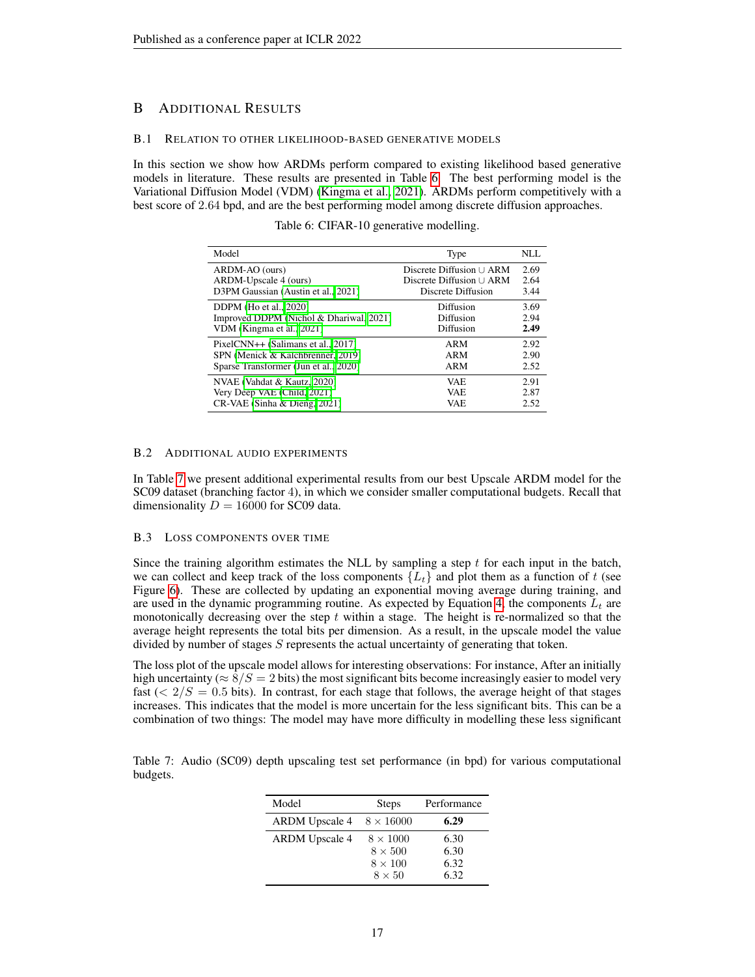## B ADDITIONAL RESULTS

#### B.1 RELATION TO OTHER LIKELIHOOD-BASED GENERATIVE MODELS

<span id="page-16-0"></span>In this section we show how ARDMs perform compared to existing likelihood based generative models in literature. These results are presented in Table [6.](#page-16-0) The best performing model is the Variational Diffusion Model (VDM) [\(Kingma et al., 2021\)](#page-10-7). ARDMs perform competitively with a best score of 2.64 bpd, and are the best performing model among discrete diffusion approaches.

Table 6: CIFAR-10 generative modelling.

| Model                                   | Type                          | NLL  |
|-----------------------------------------|-------------------------------|------|
| ARDM-AO (ours)                          | Discrete Diffusion $\cup$ ARM | 2.69 |
| ARDM-Upscale 4 (ours)                   | Discrete Diffusion $\cup$ ARM | 2.64 |
| D3PM Gaussian (Austin et al., 2021)     | Discrete Diffusion            | 3.44 |
| DDPM (Ho et al., 2020)                  | Diffusion                     | 3.69 |
| Improved DDPM (Nichol & Dhariwal, 2021) | Diffusion                     | 2.94 |
| VDM (Kingma et al., 2021)               | Diffusion                     | 2.49 |
| PixelCNN++ (Salimans et al., 2017)      | ARM                           | 2.92 |
| SPN (Menick & Kalchbrenner, 2019)       | ARM                           | 2.90 |
| Sparse Transformer (Jun et al., 2020)   | ARM                           | 2.52 |
| NVAE (Vahdat & Kautz, 2020)             | VAE.                          | 2.91 |
| Very Deep VAE (Child, 2021)             | <b>VAE</b>                    | 2.87 |
| CR-VAE (Sinha & Dieng, 2021)            | VAE                           | 2.52 |

#### B.2 ADDITIONAL AUDIO EXPERIMENTS

In Table [7](#page-16-1) we present additional experimental results from our best Upscale ARDM model for the SC09 dataset (branching factor 4), in which we consider smaller computational budgets. Recall that dimensionality  $D = 16000$  for SC09 data.

#### B.3 LOSS COMPONENTS OVER TIME

Since the training algorithm estimates the NLL by sampling a step  $t$  for each input in the batch, we can collect and keep track of the loss components  $\{L_t\}$  and plot them as a function of t (see Figure [6\)](#page-17-0). These are collected by updating an exponential moving average during training, and are used in the dynamic programming routine. As expected by Equation [4,](#page-4-0) the components  $L_t$  are monotonically decreasing over the step  $t$  within a stage. The height is re-normalized so that the average height represents the total bits per dimension. As a result, in the upscale model the value divided by number of stages S represents the actual uncertainty of generating that token.

The loss plot of the upscale model allows for interesting observations: For instance, After an initially high uncertainty ( $\approx 8/S = 2$  bits) the most significant bits become increasingly easier to model very fast  $(< 2/S = 0.5$  bits). In contrast, for each stage that follows, the average height of that stages increases. This indicates that the model is more uncertain for the less significant bits. This can be a combination of two things: The model may have more difficulty in modelling these less significant

<span id="page-16-1"></span>Table 7: Audio (SC09) depth upscaling test set performance (in bpd) for various computational budgets.

| Model                 | <b>Steps</b>     | Performance |
|-----------------------|------------------|-------------|
| <b>ARDM</b> Upscale 4 | $8 \times 16000$ | 6.29        |
| <b>ARDM</b> Upscale 4 | $8 \times 1000$  | 6.30        |
|                       | $8 \times 500$   | 6.30        |
|                       | $8 \times 100$   | 6.32        |
|                       | $8 \times 50$    | 6.32        |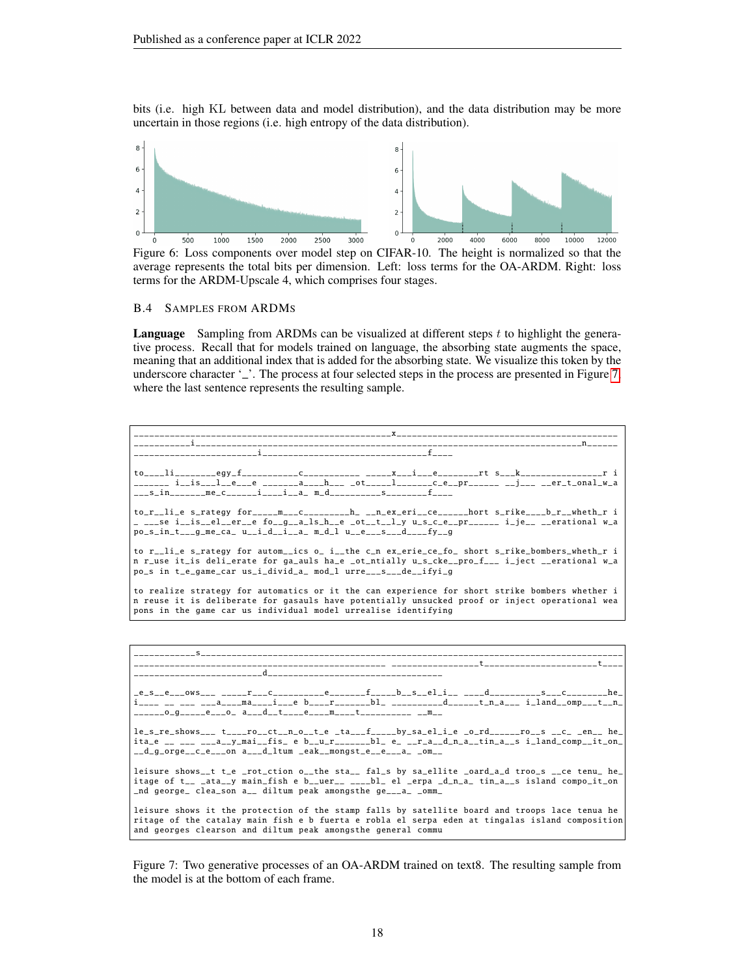bits (i.e. high KL between data and model distribution), and the data distribution may be more uncertain in those regions (i.e. high entropy of the data distribution).

<span id="page-17-0"></span>

Figure 6: Loss components over model step on CIFAR-10. The height is normalized so that the average represents the total bits per dimension. Left: loss terms for the OA-ARDM. Right: loss terms for the ARDM-Upscale 4, which comprises four stages.

#### B.4 SAMPLES FROM ARDMS

Language Sampling from ARDMs can be visualized at different steps t to highlight the generative process. Recall that for models trained on language, the absorbing state augments the space, meaning that an additional index that is added for the absorbing state. We visualize this token by the underscore character '\_'. The process at four selected steps in the process are presented in Figure [7,](#page-17-1) where the last sentence represents the resulting sample.

<span id="page-17-1"></span>\_\_\_\_\_\_\_\_\_\_\_\_\_\_\_\_\_\_\_\_\_\_\_\_\_\_\_\_\_\_\_\_\_\_\_\_\_\_\_\_\_\_\_\_\_\_\_\_\_\_x\_\_\_\_\_\_\_\_\_\_\_\_\_\_\_\_\_\_\_\_\_\_\_\_\_\_\_\_\_\_\_\_\_\_\_\_\_\_\_\_\_\_\_ \_\_\_\_\_\_\_\_\_\_\_i\_\_\_\_\_\_\_\_\_\_\_\_\_\_\_\_\_\_\_\_\_\_\_\_\_\_\_\_\_\_\_\_\_\_\_\_\_\_\_\_\_\_\_\_\_\_\_\_\_\_\_\_\_\_\_\_\_\_\_\_\_\_\_\_\_\_\_\_\_\_\_\_\_\_\_n\_\_\_\_\_\_ \_\_\_\_\_\_\_\_\_\_\_\_\_\_\_\_\_\_\_\_\_\_\_\_i\_\_\_\_\_\_\_\_\_\_\_\_\_\_\_\_\_\_\_\_\_\_\_\_\_\_\_\_\_\_\_\_f\_\_\_\_ \_\_\_\_egy\_f\_\_\_\_\_\_\_\_\_\_\_\_\_C\_\_\_\_\_\_\_\_\_\_\_\_ \_\_\_\_\_x\_\_\_i\_\_\_\_e\_\_\_\_\_\_\_\_\_rt s\_\_\_k\_\_\_\_\_\_\_\_\_\_\_\_\_\_\_\_\_r i \_\_\_\_\_\_\_ i\_\_is\_\_\_l\_\_e\_\_\_e \_\_\_\_\_\_\_a\_\_\_\_h\_\_\_ \_ot\_\_\_\_\_l\_\_\_\_\_\_\_\_c\_e\_\_pr\_\_\_\_\_\_ \_\_j\_\_\_ \_\_er\_t\_onal\_w\_a<br>\_\_\_s\_in\_\_\_\_\_\_me\_c\_\_\_\_\_\_i\_\_\_i\_\_a\_ m\_d\_\_\_\_\_\_\_\_\_\_s\_\_\_\_\_\_\_\_f\_\_\_\_ to\_r\_\_li\_e s\_rategy for\_\_\_\_\_m\_\_\_c\_\_\_\_\_\_\_\_h\_ \_\_n\_ex\_eri\_\_ce\_\_\_\_\_\_hort s\_rike\_\_\_\_b\_r\_\_wheth\_r i<br>\_ \_\_\_se i\_\_is\_\_el\_\_er\_\_e fo\_\_g\_\_a\_ls\_h\_\_e \_ot\_\_t\_\_l\_y u\_s\_c\_e\_\_pr\_\_\_\_\_\_ i\_je\_\_ \_\_erational w\_a<br>po\_s\_in\_t\_\_\_g\_me\_ca\_ u\_\_i\_d\_\_i\_\_a to r\_\_li\_e s\_rategy for autom\_\_ics o\_ i\_\_the c\_n ex\_erie\_ce\_fo\_ short s\_rike\_bombers\_wheth\_r i n r\_use it\_is deli\_erate for ga\_auls ha\_e \_ot\_ntially u\_s\_cke\_\_pro\_f\_\_\_ i\_ject \_\_erational w\_a po\_s in t\_e\_game\_car us\_i\_divid\_a\_ mod\_l urre\_\_\_s\_\_\_de\_\_ifyi\_g to realize strategy for automatics or it the can experience for short strike bombers whether i n reuse it is deliberate for gasauls have potentially unsucked proof or inject operational wea pons in the game car us individual model urrealise identifying \_\_\_\_\_\_\_\_\_\_\_\_s\_\_\_\_\_\_\_\_\_\_\_\_\_\_\_\_\_\_\_\_\_\_\_\_\_\_\_\_\_\_\_\_\_\_\_\_\_\_\_\_\_\_\_\_\_\_\_\_\_\_\_\_\_\_\_\_\_\_\_\_\_\_\_\_\_\_\_\_\_\_\_\_\_\_\_\_\_\_\_\_\_\_ \_\_\_\_\_\_\_\_\_\_\_\_\_\_\_\_\_\_\_\_\_\_\_\_\_\_\_\_\_\_\_\_\_\_\_\_\_\_\_\_\_\_\_\_\_\_\_\_\_ \_\_\_\_\_\_\_\_\_\_\_\_\_\_\_\_\_t\_\_\_\_\_\_\_\_\_\_\_\_\_\_\_\_\_\_\_\_\_\_t\_\_\_\_ \_\_\_\_\_\_\_\_\_\_\_\_\_\_\_\_\_\_\_\_\_\_\_\_\_d\_\_\_\_\_\_\_\_\_\_\_\_\_\_\_\_\_\_\_\_\_\_\_\_\_\_\_\_\_\_\_\_\_\_  $f_{\text{1}} = b - s - e_1 i_+ \cdots d_{\text{2}} s_+ \cdots s_{\text{2}} s_{\text{1}} \cdots s_{\text{2}} s_{\text{3}}$ i\_\_\_\_ \_\_ \_\_\_ \_\_\_a\_\_\_\_ma\_\_\_\_i\_\_\_e b\_\_\_\_r\_\_\_\_\_\_\_bl\_ \_\_\_\_\_\_\_\_\_\_d\_\_\_\_\_\_t\_n\_a\_\_\_ i\_land\_\_omp\_\_\_t\_\_n\_ \_\_\_\_\_\_o\_g\_\_\_\_\_e\_\_\_o\_ a\_\_\_d\_\_t\_\_\_\_e\_\_\_\_m\_\_\_\_t\_\_\_\_\_\_\_\_\_\_ \_\_m\_\_  $le_s_re\_shows_{--}$   $t_{---}ro_{--}ct_{--}n_{-0-}t_{-e}$   $_t = t_{-0}t_{---}b$ y\_sa\_el\_i\_e \_o\_rd\_\_\_\_\_\_ro\_\_s \_\_c\_ \_en\_\_ he\_  $ita_e$  \_\_ \_\_\_ \_\_\_a\_y\_mai\_fis\_ e b\_u\_r\_\_\_\_\_\_bl\_ e\_ \_\_r\_a\_\_d\_n\_a\_\_tin\_a\_\_s i\_land\_comp\_\_it\_on\_  $\_d\_g\_orge\_c\_e\_on$   $a\_\_d\_ltum$   $\_eak\_mongst\_e\_e\_a\_om\_o$ leisure shows\_t t\_e \_rot\_ction o\_\_the sta\_\_ fal\_s by sa\_ellite \_oard\_a\_d troo\_s \_\_ce tenu\_ he\_ itage of t\_\_ \_ata\_\_y main\_fish e b\_\_uer\_\_ \_\_\_\_bl\_ el \_erpa \_d\_n\_a\_ tin\_a\_\_s island compo\_it\_on \_nd george\_ clea\_son a\_\_ diltum peak amongsthe ge\_\_\_a\_ \_omm\_

leisure shows it the protection of the stamp falls by satellite board and troops lace tenua he ritage of the catalay main fish e b fuerta e robla el serpa eden at tingalas island composition and georges clearson and diltum peak amongsthe general commu

Figure 7: Two generative processes of an OA-ARDM trained on text8. The resulting sample from the model is at the bottom of each frame.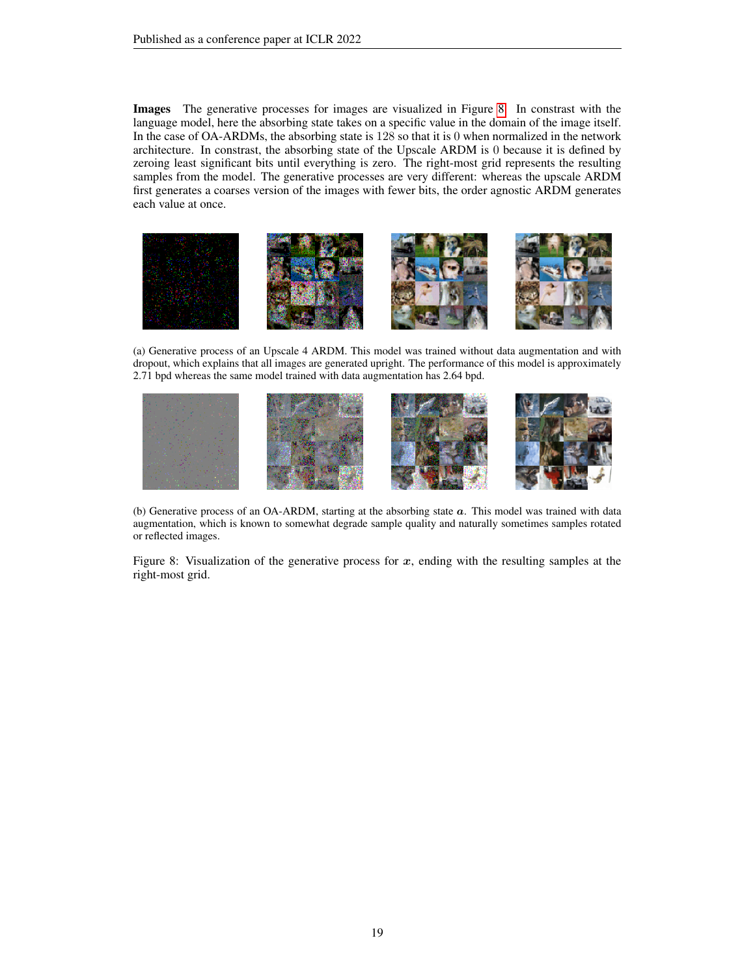Images The generative processes for images are visualized in Figure [8.](#page-18-0) In constrast with the language model, here the absorbing state takes on a specific value in the domain of the image itself. In the case of OA-ARDMs, the absorbing state is 128 so that it is 0 when normalized in the network architecture. In constrast, the absorbing state of the Upscale ARDM is 0 because it is defined by zeroing least significant bits until everything is zero. The right-most grid represents the resulting samples from the model. The generative processes are very different: whereas the upscale ARDM first generates a coarses version of the images with fewer bits, the order agnostic ARDM generates each value at once.

<span id="page-18-0"></span>

(a) Generative process of an Upscale 4 ARDM. This model was trained without data augmentation and with dropout, which explains that all images are generated upright. The performance of this model is approximately 2.71 bpd whereas the same model trained with data augmentation has 2.64 bpd.



(b) Generative process of an OA-ARDM, starting at the absorbing state  $a$ . This model was trained with data augmentation, which is known to somewhat degrade sample quality and naturally sometimes samples rotated or reflected images.

Figure 8: Visualization of the generative process for  $x$ , ending with the resulting samples at the right-most grid.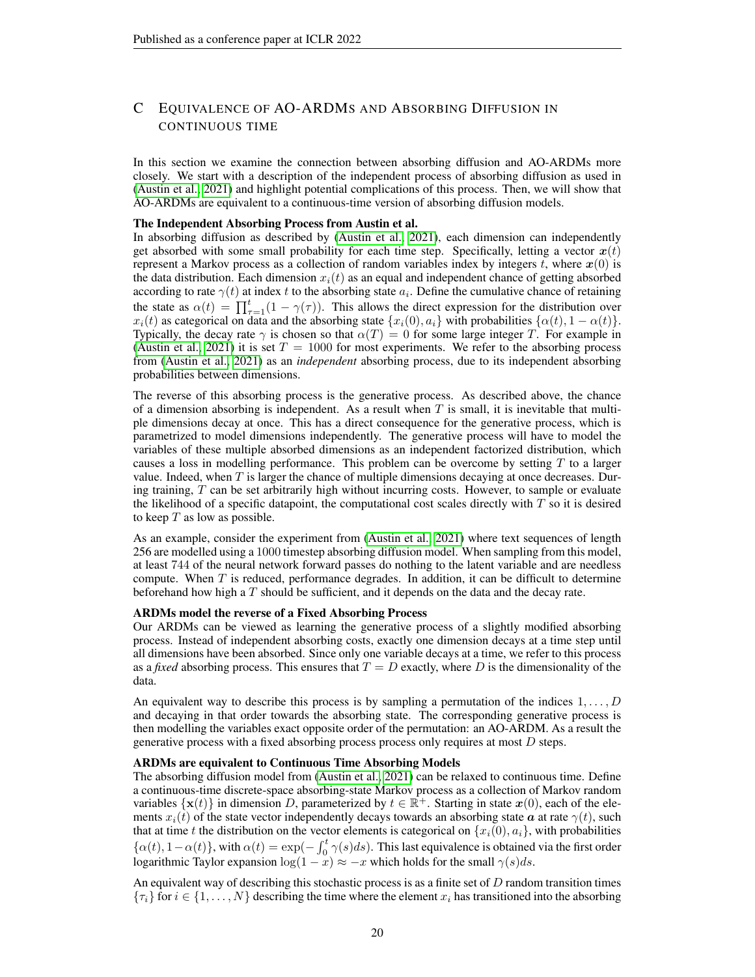## <span id="page-19-0"></span>C EQUIVALENCE OF AO-ARDMS AND ABSORBING DIFFUSION IN CONTINUOUS TIME

In this section we examine the connection between absorbing diffusion and AO-ARDMs more closely. We start with a description of the independent process of absorbing diffusion as used in [\(Austin et al., 2021\)](#page-9-0) and highlight potential complications of this process. Then, we will show that AO-ARDMs are equivalent to a continuous-time version of absorbing diffusion models.

#### The Independent Absorbing Process from Austin et al.

In absorbing diffusion as described by [\(Austin et al., 2021\)](#page-9-0), each dimension can independently get absorbed with some small probability for each time step. Specifically, letting a vector  $x(t)$ represent a Markov process as a collection of random variables index by integers t, where  $x(0)$  is the data distribution. Each dimension  $x<sub>i</sub>(t)$  as an equal and independent chance of getting absorbed according to rate  $\gamma(t)$  at index t to the absorbing state  $a_i$ . Define the cumulative chance of retaining the state as  $\alpha(t) = \prod_{\tau=1}^{t} (1 - \gamma(\tau))$ . This allows the direct expression for the distribution over  $x_i(t)$  as categorical on data and the absorbing state  $\{x_i(0), a_i\}$  with probabilities  $\{\alpha(t), 1 - \alpha(t)\}.$ Typically, the decay rate  $\gamma$  is chosen so that  $\alpha(T) = 0$  for some large integer T. For example in [\(Austin et al., 2021\)](#page-9-0) it is set  $T = 1000$  for most experiments. We refer to the absorbing process from [\(Austin et al., 2021\)](#page-9-0) as an *independent* absorbing process, due to its independent absorbing probabilities between dimensions.

The reverse of this absorbing process is the generative process. As described above, the chance of a dimension absorbing is independent. As a result when  $T$  is small, it is inevitable that multiple dimensions decay at once. This has a direct consequence for the generative process, which is parametrized to model dimensions independently. The generative process will have to model the variables of these multiple absorbed dimensions as an independent factorized distribution, which causes a loss in modelling performance. This problem can be overcome by setting  $T$  to a larger value. Indeed, when  $T$  is larger the chance of multiple dimensions decaying at once decreases. During training, T can be set arbitrarily high without incurring costs. However, to sample or evaluate the likelihood of a specific datapoint, the computational cost scales directly with  $T$  so it is desired to keep  $T$  as low as possible.

As an example, consider the experiment from [\(Austin et al., 2021\)](#page-9-0) where text sequences of length 256 are modelled using a 1000 timestep absorbing diffusion model. When sampling from this model, at least 744 of the neural network forward passes do nothing to the latent variable and are needless compute. When  $T$  is reduced, performance degrades. In addition, it can be difficult to determine beforehand how high a  $T$  should be sufficient, and it depends on the data and the decay rate.

#### ARDMs model the reverse of a Fixed Absorbing Process

Our ARDMs can be viewed as learning the generative process of a slightly modified absorbing process. Instead of independent absorbing costs, exactly one dimension decays at a time step until all dimensions have been absorbed. Since only one variable decays at a time, we refer to this process as a *fixed* absorbing process. This ensures that  $T = D$  exactly, where D is the dimensionality of the data.

An equivalent way to describe this process is by sampling a permutation of the indices  $1, \ldots, D$ and decaying in that order towards the absorbing state. The corresponding generative process is then modelling the variables exact opposite order of the permutation: an AO-ARDM. As a result the generative process with a fixed absorbing process process only requires at most  $D$  steps.

#### ARDMs are equivalent to Continuous Time Absorbing Models

The absorbing diffusion model from [\(Austin et al., 2021\)](#page-9-0) can be relaxed to continuous time. Define a continuous-time discrete-space absorbing-state Markov process as a collection of Markov random variables  $\{x(t)\}\$ in dimension D, parameterized by  $t \in \mathbb{R}^+$ . Starting in state  $x(0)$ , each of the elements  $x_i(t)$  of the state vector independently decays towards an absorbing state  $\alpha$  at rate  $\gamma(t)$ , such that at time t the distribution on the vector elements is categorical on  $\{x_i(0), a_i\}$ , with probabilities  $\{\alpha(t), 1-\alpha(t)\}\$ , with  $\alpha(t) = \exp(-\int_0^t \gamma(s)ds)$ . This last equivalence is obtained via the first order logarithmic Taylor expansion  $\log(1-x) \approx -x$  which holds for the small  $\gamma(s)ds$ .

An equivalent way of describing this stochastic process is as a finite set of  $D$  random transition times  $\{\tau_i\}$  for  $i \in \{1, \ldots, N\}$  describing the time where the element  $x_i$  has transitioned into the absorbing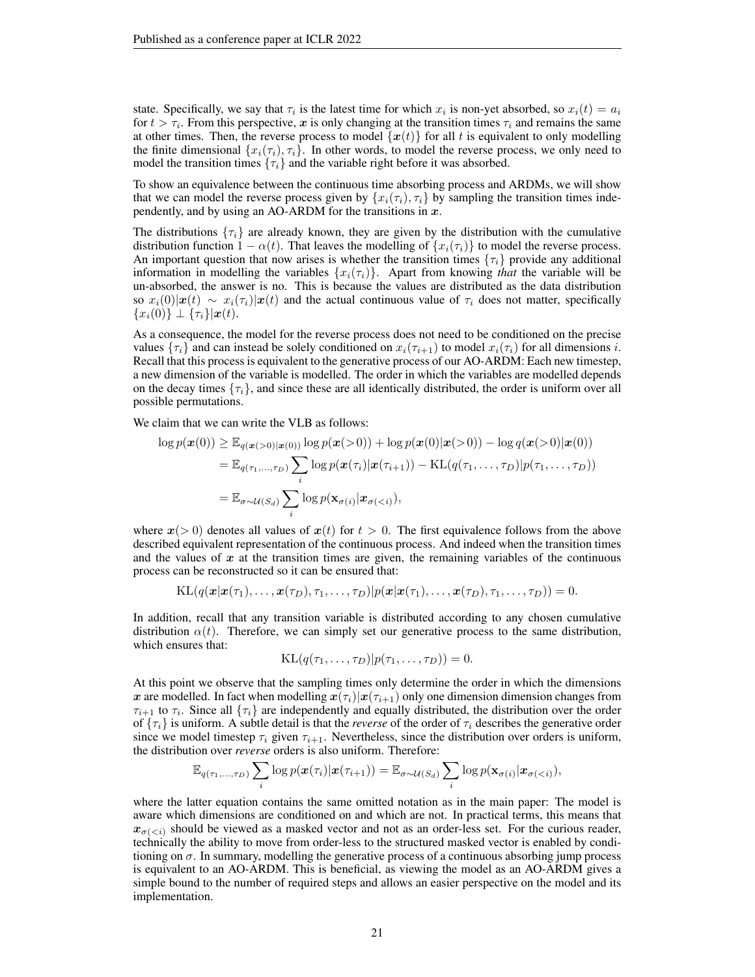state. Specifically, we say that  $\tau_i$  is the latest time for which  $x_i$  is non-yet absorbed, so  $x_i(t) = a_i$ for  $t > \tau_i$ . From this perspective, x is only changing at the transition times  $\tau_i$  and remains the same at other times. Then, the reverse process to model  $\{x(t)\}\$ for all t is equivalent to only modelling the finite dimensional  $\{x_i(\tau_i), \tau_i\}$ . In other words, to model the reverse process, we only need to model the transition times  $\{\tau_i\}$  and the variable right before it was absorbed.

To show an equivalence between the continuous time absorbing process and ARDMs, we will show that we can model the reverse process given by  $\{x_i(\tau_i), \tau_i\}$  by sampling the transition times independently, and by using an AO-ARDM for the transitions in  $x$ .

The distributions  $\{\tau_i\}$  are already known, they are given by the distribution with the cumulative distribution function  $1 - \alpha(t)$ . That leaves the modelling of  $\{x_i(\tau_i)\}\$  to model the reverse process. An important question that now arises is whether the transition times  $\{\tau_i\}$  provide any additional information in modelling the variables  $\{x_i(\tau_i)\}\$ . Apart from knowing *that* the variable will be un-absorbed, the answer is no. This is because the values are distributed as the data distribution so  $x_i(0)|x(t) \sim x_i(\tau_i)|x(t)$  and the actual continuous value of  $\tau_i$  does not matter, specifically  ${x_i(0)} \perp { {\tau_i} } | \mathbf{x}(t)$ .

As a consequence, the model for the reverse process does not need to be conditioned on the precise values  $\{\tau_i\}$  and can instead be solely conditioned on  $x_i(\tau_{i+1})$  to model  $x_i(\tau_i)$  for all dimensions i. Recall that this process is equivalent to the generative process of our AO-ARDM: Each new timestep, a new dimension of the variable is modelled. The order in which the variables are modelled depends on the decay times  $\{\tau_i\}$ , and since these are all identically distributed, the order is uniform over all possible permutations.

We claim that we can write the VLB as follows:

$$
\log p(\boldsymbol{x}(0)) \geq \mathbb{E}_{q(\boldsymbol{x}(>0)|\boldsymbol{x}(0))} \log p(\boldsymbol{x}(>0)) + \log p(\boldsymbol{x}(0)|\boldsymbol{x}(>0)) - \log q(\boldsymbol{x}(>0)|\boldsymbol{x}(0))
$$
  
= 
$$
\mathbb{E}_{q(\tau_1,\ldots,\tau_D)} \sum_{i} \log p(\boldsymbol{x}(\tau_i)|\boldsymbol{x}(\tau_{i+1})) - \mathrm{KL}(q(\tau_1,\ldots,\tau_D)|p(\tau_1,\ldots,\tau_D))
$$
  
= 
$$
\mathbb{E}_{\sigma \sim \mathcal{U}(S_d)} \sum_{i} \log p(\mathbf{x}_{\sigma(i)}|\boldsymbol{x}_{\sigma(
$$

where  $x(> 0)$  denotes all values of  $x(t)$  for  $t > 0$ . The first equivalence follows from the above described equivalent representation of the continuous process. And indeed when the transition times and the values of  $x$  at the transition times are given, the remaining variables of the continuous process can be reconstructed so it can be ensured that:

$$
\mathrm{KL}(q(\mathbf{x}|\mathbf{x}(\tau_1),\ldots,\mathbf{x}(\tau_D),\tau_1,\ldots,\tau_D)|p(\mathbf{x}|\mathbf{x}(\tau_1),\ldots,\mathbf{x}(\tau_D),\tau_1,\ldots,\tau_D))=0.
$$

In addition, recall that any transition variable is distributed according to any chosen cumulative distribution  $\alpha(t)$ . Therefore, we can simply set our generative process to the same distribution, which ensures that:

$$
KL(q(\tau_1,\ldots,\tau_D)|p(\tau_1,\ldots,\tau_D))=0.
$$

At this point we observe that the sampling times only determine the order in which the dimensions x are modelled. In fact when modelling  $x(\tau_i)|x(\tau_{i+1})$  only one dimension dimension changes from  $\tau_{i+1}$  to  $\tau_i$ . Since all  $\{\tau_i\}$  are independently and equally distributed, the distribution over the order of  $\{\tau_i\}$  is uniform. A subtle detail is that the *reverse* of the order of  $\tau_i$  describes the generative order since we model timestep  $\tau_i$  given  $\tau_{i+1}$ . Nevertheless, since the distribution over orders is uniform, the distribution over *reverse* orders is also uniform. Therefore:

$$
\mathbb{E}_{q(\tau_1,\ldots,\tau_D)}\sum_i \log p(\boldsymbol{x}(\tau_i)|\boldsymbol{x}(\tau_{i+1})) = \mathbb{E}_{\sigma \sim \mathcal{U}(S_d)}\sum_i \log p(\mathbf{x}_{\sigma(i)}|\boldsymbol{x}_{\sigma(
$$

where the latter equation contains the same omitted notation as in the main paper: The model is aware which dimensions are conditioned on and which are not. In practical terms, this means that  $x_{\sigma(\langle i \rangle)}$  should be viewed as a masked vector and not as an order-less set. For the curious reader, technically the ability to move from order-less to the structured masked vector is enabled by conditioning on  $\sigma$ . In summary, modelling the generative process of a continuous absorbing jump process is equivalent to an AO-ARDM. This is beneficial, as viewing the model as an AO-ARDM gives a simple bound to the number of required steps and allows an easier perspective on the model and its implementation.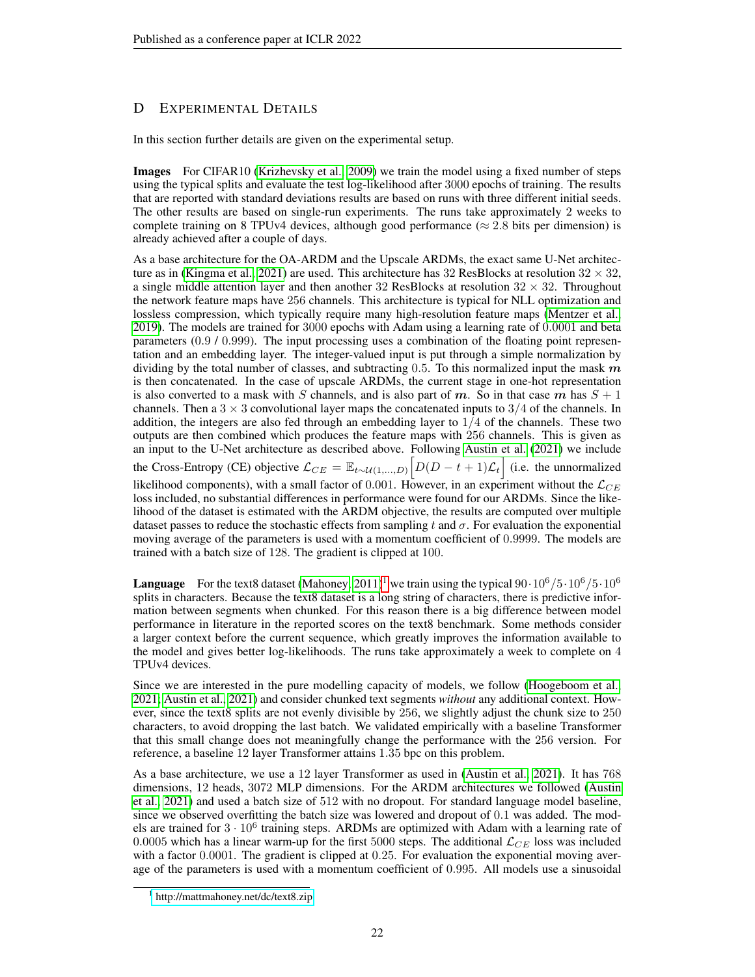## <span id="page-21-0"></span>D EXPERIMENTAL DETAILS

In this section further details are given on the experimental setup.

Images For CIFAR10 [\(Krizhevsky et al., 2009\)](#page-11-11) we train the model using a fixed number of steps using the typical splits and evaluate the test log-likelihood after 3000 epochs of training. The results that are reported with standard deviations results are based on runs with three different initial seeds. The other results are based on single-run experiments. The runs take approximately 2 weeks to complete training on 8 TPUv4 devices, although good performance ( $\approx$  2.8 bits per dimension) is already achieved after a couple of days.

As a base architecture for the OA-ARDM and the Upscale ARDMs, the exact same U-Net architec-ture as in [\(Kingma et al., 2021\)](#page-10-7) are used. This architecture has 32 ResBlocks at resolution  $32 \times 32$ , a single middle attention layer and then another 32 ResBlocks at resolution  $32 \times 32$ . Throughout the network feature maps have 256 channels. This architecture is typical for NLL optimization and lossless compression, which typically require many high-resolution feature maps [\(Mentzer et al.,](#page-11-13) [2019\)](#page-11-13). The models are trained for 3000 epochs with Adam using a learning rate of 0.0001 and beta parameters (0.9 / 0.999). The input processing uses a combination of the floating point representation and an embedding layer. The integer-valued input is put through a simple normalization by dividing by the total number of classes, and subtracting 0.5. To this normalized input the mask  $m$ is then concatenated. In the case of upscale ARDMs, the current stage in one-hot representation is also converted to a mask with S channels, and is also part of m. So in that case m has  $S + 1$ channels. Then a  $3 \times 3$  convolutional layer maps the concatenated inputs to  $3/4$  of the channels. In addition, the integers are also fed through an embedding layer to  $1/4$  of the channels. These two outputs are then combined which produces the feature maps with 256 channels. This is given as an input to the U-Net architecture as described above. Following [Austin et al.](#page-9-0) [\(2021\)](#page-9-0) we include the Cross-Entropy (CE) objective  $\mathcal{L}_{CE} = \mathbb{E}_{t \sim \mathcal{U}(1,...,D)} \Big[ D(D-t+1)\mathcal{L}_t \Big]$  (i.e. the unnormalized likelihood components), with a small factor of 0.001. However, in an experiment without the  $\mathcal{L}_{CE}$ loss included, no substantial differences in performance were found for our ARDMs. Since the likelihood of the dataset is estimated with the ARDM objective, the results are computed over multiple dataset passes to reduce the stochastic effects from sampling t and  $\sigma$ . For evaluation the exponential moving average of the parameters is used with a momentum coefficient of 0.9999. The models are trained with a batch size of 128. The gradient is clipped at 100.

**Language** For the text8 dataset [\(Mahoney, 2011\)](#page-11-10)<sup>[1](#page-21-1)</sup> we train using the typical  $90 \cdot 10^6 / 5 \cdot 10^6 / 5 \cdot 10^6$ splits in characters. Because the text8 dataset is a long string of characters, there is predictive information between segments when chunked. For this reason there is a big difference between model performance in literature in the reported scores on the text8 benchmark. Some methods consider a larger context before the current sequence, which greatly improves the information available to the model and gives better log-likelihoods. The runs take approximately a week to complete on 4 TPUv4 devices.

Since we are interested in the pure modelling capacity of models, we follow [\(Hoogeboom et al.,](#page-10-0) [2021;](#page-10-0) [Austin et al., 2021\)](#page-9-0) and consider chunked text segments *without* any additional context. However, since the text8 splits are not evenly divisible by 256, we slightly adjust the chunk size to 250 characters, to avoid dropping the last batch. We validated empirically with a baseline Transformer that this small change does not meaningfully change the performance with the 256 version. For reference, a baseline 12 layer Transformer attains 1.35 bpc on this problem.

As a base architecture, we use a 12 layer Transformer as used in [\(Austin et al., 2021\)](#page-9-0). It has 768 dimensions, 12 heads, 3072 MLP dimensions. For the ARDM architectures we followed [\(Austin](#page-9-0) [et al., 2021\)](#page-9-0) and used a batch size of 512 with no dropout. For standard language model baseline, since we observed overfitting the batch size was lowered and dropout of 0.1 was added. The models are trained for  $3 \cdot 10^6$  training steps. ARDMs are optimized with Adam with a learning rate of 0.0005 which has a linear warm-up for the first 5000 steps. The additional  $\mathcal{L}_{CE}$  loss was included with a factor 0.0001. The gradient is clipped at 0.25. For evaluation the exponential moving average of the parameters is used with a momentum coefficient of 0.995. All models use a sinusoidal

<span id="page-21-1"></span><sup>1</sup> <http://mattmahoney.net/dc/text8.zip>